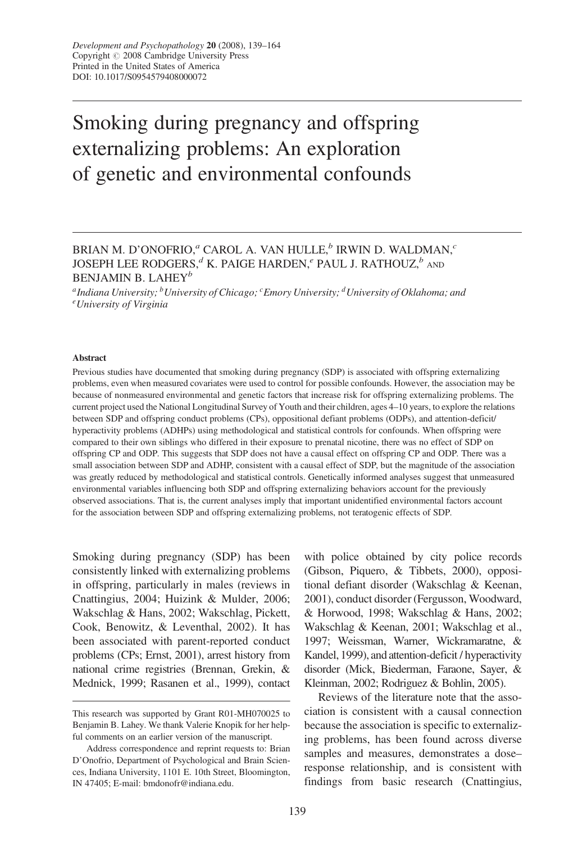# Smoking during pregnancy and offspring externalizing problems: An exploration of genetic and environmental confounds

## BRIAN M. D'ONOFRIO,<br/>" CAROL A. VAN HULLE, " IRWIN D. WALDMAN,  $\cdot$ JOSEPH LEE RODGERS, $d$  K. PAIGE HARDEN, $e$  PAUL J. RATHOUZ, $b$  and BENJAMIN B. LAHEY $^b$

<sup>a</sup>Indiana University;  $^b$ University of Chicago;  $^c$ Emory University;  $^d$ University of Oklahoma; and University of Virginia

#### Abstract

Previous studies have documented that smoking during pregnancy (SDP) is associated with offspring externalizing problems, even when measured covariates were used to control for possible confounds. However, the association may be because of nonmeasured environmental and genetic factors that increase risk for offspring externalizing problems. The current project used the National Longitudinal Survey of Youth and their children, ages 4–10 years, to explore the relations between SDP and offspring conduct problems (CPs), oppositional defiant problems (ODPs), and attention-deficit/ hyperactivity problems (ADHPs) using methodological and statistical controls for confounds. When offspring were compared to their own siblings who differed in their exposure to prenatal nicotine, there was no effect of SDP on offspring CP and ODP. This suggests that SDP does not have a causal effect on offspring CP and ODP. There was a small association between SDP and ADHP, consistent with a causal effect of SDP, but the magnitude of the association was greatly reduced by methodological and statistical controls. Genetically informed analyses suggest that unmeasured environmental variables influencing both SDP and offspring externalizing behaviors account for the previously observed associations. That is, the current analyses imply that important unidentified environmental factors account for the association between SDP and offspring externalizing problems, not teratogenic effects of SDP.

Smoking during pregnancy (SDP) has been consistently linked with externalizing problems in offspring, particularly in males (reviews in Cnattingius, 2004; Huizink & Mulder, 2006; Wakschlag & Hans, 2002; Wakschlag, Pickett, Cook, Benowitz, & Leventhal, 2002). It has been associated with parent-reported conduct problems (CPs; Ernst, 2001), arrest history from national crime registries (Brennan, Grekin, & Mednick, 1999; Rasanen et al., 1999), contact

with police obtained by city police records (Gibson, Piquero, & Tibbets, 2000), oppositional defiant disorder (Wakschlag & Keenan, 2001), conduct disorder (Fergusson, Woodward, & Horwood, 1998; Wakschlag & Hans, 2002; Wakschlag & Keenan, 2001; Wakschlag et al., 1997; Weissman, Warner, Wickramaratne, & Kandel, 1999), and attention-deficit / hyperactivity disorder (Mick, Biederman, Faraone, Sayer, & Kleinman, 2002; Rodriguez & Bohlin, 2005).

Reviews of the literature note that the association is consistent with a causal connection because the association is specific to externalizing problems, has been found across diverse samples and measures, demonstrates a dose– response relationship, and is consistent with findings from basic research (Cnattingius,

This research was supported by Grant R01-MH070025 to Benjamin B. Lahey. We thank Valerie Knopik for her helpful comments on an earlier version of the manuscript.

Address correspondence and reprint requests to: Brian D'Onofrio, Department of Psychological and Brain Sciences, Indiana University, 1101 E. 10th Street, Bloomington, IN 47405; E-mail: bmdonofr@indiana.edu.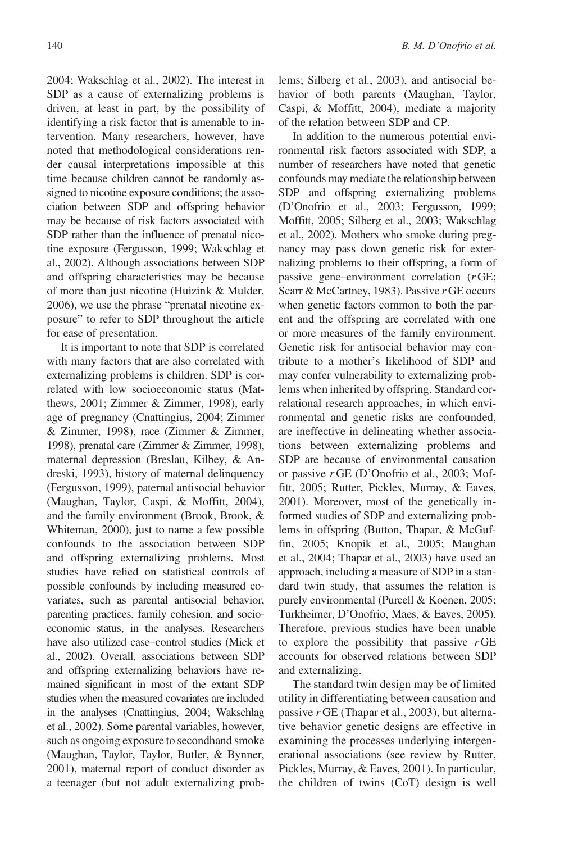2004; Wakschlag et al., 2002). The interest in SDP as a cause of externalizing problems is driven, at least in part, by the possibility of identifying a risk factor that is amenable to intervention. Many researchers, however, have noted that methodological considerations render causal interpretations impossible at this time because children cannot be randomly assigned to nicotine exposure conditions; the association between SDP and offspring behavior may be because of risk factors associated with SDP rather than the influence of prenatal nicotine exposure (Fergusson, 1999; Wakschlag et al., 2002). Although associations between SDP and offspring characteristics may be because of more than just nicotine (Huizink & Mulder, 2006), we use the phrase "prenatal nicotine exposure" to refer to SDP throughout the article for ease of presentation.

It is important to note that SDP is correlated with many factors that are also correlated with externalizing problems is children. SDP is correlated with low socioeconomic status (Matthews, 2001; Zimmer & Zimmer, 1998), early age of pregnancy (Cnattingius, 2004; Zimmer & Zimmer, 1998), race (Zimmer & Zimmer, 1998), prenatal care (Zimmer & Zimmer, 1998), maternal depression (Breslau, Kilbey, & Andreski, 1993), history of maternal delinquency (Fergusson, 1999), paternal antisocial behavior (Maughan, Taylor, Caspi, & Moffitt, 2004), and the family environment (Brook, Brook, & Whiteman, 2000), just to name a few possible confounds to the association between SDP and offspring externalizing problems. Most studies have relied on statistical controls of possible confounds by including measured covariates, such as parental antisocial behavior, parenting practices, family cohesion, and socioeconomic status, in the analyses. Researchers have also utilized case–control studies (Mick et al., 2002). Overall, associations between SDP and offspring externalizing behaviors have remained significant in most of the extant SDP studies when the measured covariates are included in the analyses (Cnattingius, 2004; Wakschlag et al., 2002). Some parental variables, however, such as ongoing exposure to secondhand smoke (Maughan, Taylor, Taylor, Butler, & Bynner, 2001), maternal report of conduct disorder as a teenager (but not adult externalizing problems; Silberg et al., 2003), and antisocial behavior of both parents (Maughan, Taylor, Caspi, & Moffitt, 2004), mediate a majority of the relation between SDP and CP.

In addition to the numerous potential environmental risk factors associated with SDP, a number of researchers have noted that genetic confounds may mediate the relationship between SDP and offspring externalizing problems (D'Onofrio et al., 2003; Fergusson, 1999; Moffitt, 2005; Silberg et al., 2003; Wakschlag et al., 2002). Mothers who smoke during pregnancy may pass down genetic risk for externalizing problems to their offspring, a form of passive gene–environment correlation (r GE; Scarr & McCartney, 1983). Passive r GE occurs when genetic factors common to both the parent and the offspring are correlated with one or more measures of the family environment. Genetic risk for antisocial behavior may contribute to a mother's likelihood of SDP and may confer vulnerability to externalizing problems when inherited by offspring. Standard correlational research approaches, in which environmental and genetic risks are confounded, are ineffective in delineating whether associations between externalizing problems and SDP are because of environmental causation or passive r GE (D'Onofrio et al., 2003; Moffitt, 2005; Rutter, Pickles, Murray, & Eaves, 2001). Moreover, most of the genetically informed studies of SDP and externalizing problems in offspring (Button, Thapar, & McGuffin, 2005; Knopik et al., 2005; Maughan et al., 2004; Thapar et al., 2003) have used an approach, including a measure of SDP in a standard twin study, that assumes the relation is purely environmental (Purcell & Koenen, 2005; Turkheimer, D'Onofrio, Maes, & Eaves, 2005). Therefore, previous studies have been unable to explore the possibility that passive  $r$  GE accounts for observed relations between SDP and externalizing.

The standard twin design may be of limited utility in differentiating between causation and passive r GE (Thapar et al., 2003), but alternative behavior genetic designs are effective in examining the processes underlying intergenerational associations (see review by Rutter, Pickles, Murray, & Eaves, 2001). In particular, the children of twins (CoT) design is well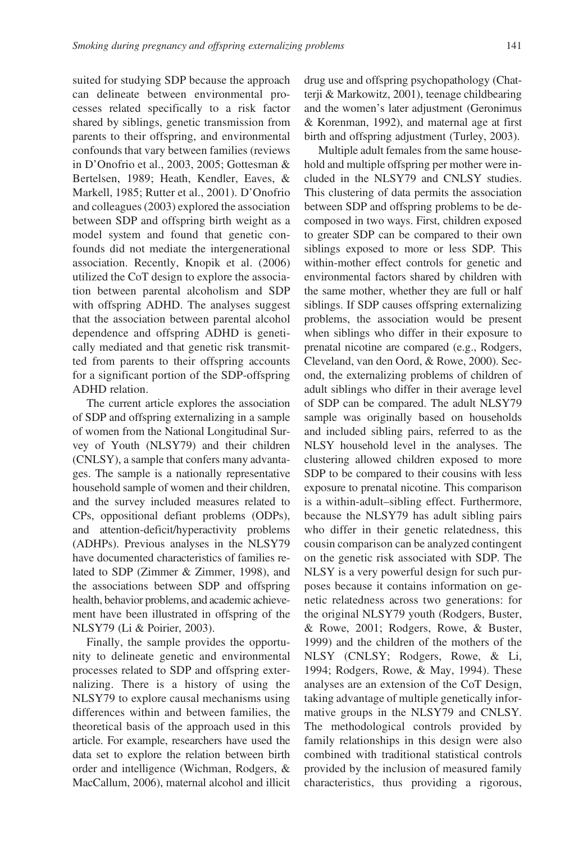suited for studying SDP because the approach can delineate between environmental processes related specifically to a risk factor shared by siblings, genetic transmission from parents to their offspring, and environmental confounds that vary between families (reviews in D'Onofrio et al., 2003, 2005; Gottesman & Bertelsen, 1989; Heath, Kendler, Eaves, & Markell, 1985; Rutter et al., 2001). D'Onofrio and colleagues (2003) explored the association between SDP and offspring birth weight as a model system and found that genetic confounds did not mediate the intergenerational association. Recently, Knopik et al. (2006) utilized the CoT design to explore the association between parental alcoholism and SDP with offspring ADHD. The analyses suggest that the association between parental alcohol dependence and offspring ADHD is genetically mediated and that genetic risk transmitted from parents to their offspring accounts for a significant portion of the SDP-offspring ADHD relation.

The current article explores the association of SDP and offspring externalizing in a sample of women from the National Longitudinal Survey of Youth (NLSY79) and their children (CNLSY), a sample that confers many advantages. The sample is a nationally representative household sample of women and their children, and the survey included measures related to CPs, oppositional defiant problems (ODPs), and attention-deficit/hyperactivity problems (ADHPs). Previous analyses in the NLSY79 have documented characteristics of families related to SDP (Zimmer & Zimmer, 1998), and the associations between SDP and offspring health, behavior problems, and academic achievement have been illustrated in offspring of the NLSY79 (Li & Poirier, 2003).

Finally, the sample provides the opportunity to delineate genetic and environmental processes related to SDP and offspring externalizing. There is a history of using the NLSY79 to explore causal mechanisms using differences within and between families, the theoretical basis of the approach used in this article. For example, researchers have used the data set to explore the relation between birth order and intelligence (Wichman, Rodgers, & MacCallum, 2006), maternal alcohol and illicit drug use and offspring psychopathology (Chatterji & Markowitz, 2001), teenage childbearing and the women's later adjustment (Geronimus & Korenman, 1992), and maternal age at first birth and offspring adjustment (Turley, 2003).

Multiple adult females from the same household and multiple offspring per mother were included in the NLSY79 and CNLSY studies. This clustering of data permits the association between SDP and offspring problems to be decomposed in two ways. First, children exposed to greater SDP can be compared to their own siblings exposed to more or less SDP. This within-mother effect controls for genetic and environmental factors shared by children with the same mother, whether they are full or half siblings. If SDP causes offspring externalizing problems, the association would be present when siblings who differ in their exposure to prenatal nicotine are compared (e.g., Rodgers, Cleveland, van den Oord, & Rowe, 2000). Second, the externalizing problems of children of adult siblings who differ in their average level of SDP can be compared. The adult NLSY79 sample was originally based on households and included sibling pairs, referred to as the NLSY household level in the analyses. The clustering allowed children exposed to more SDP to be compared to their cousins with less exposure to prenatal nicotine. This comparison is a within-adult–sibling effect. Furthermore, because the NLSY79 has adult sibling pairs who differ in their genetic relatedness, this cousin comparison can be analyzed contingent on the genetic risk associated with SDP. The NLSY is a very powerful design for such purposes because it contains information on genetic relatedness across two generations: for the original NLSY79 youth (Rodgers, Buster, & Rowe, 2001; Rodgers, Rowe, & Buster, 1999) and the children of the mothers of the NLSY (CNLSY; Rodgers, Rowe, & Li, 1994; Rodgers, Rowe, & May, 1994). These analyses are an extension of the CoT Design, taking advantage of multiple genetically informative groups in the NLSY79 and CNLSY. The methodological controls provided by family relationships in this design were also combined with traditional statistical controls provided by the inclusion of measured family characteristics, thus providing a rigorous,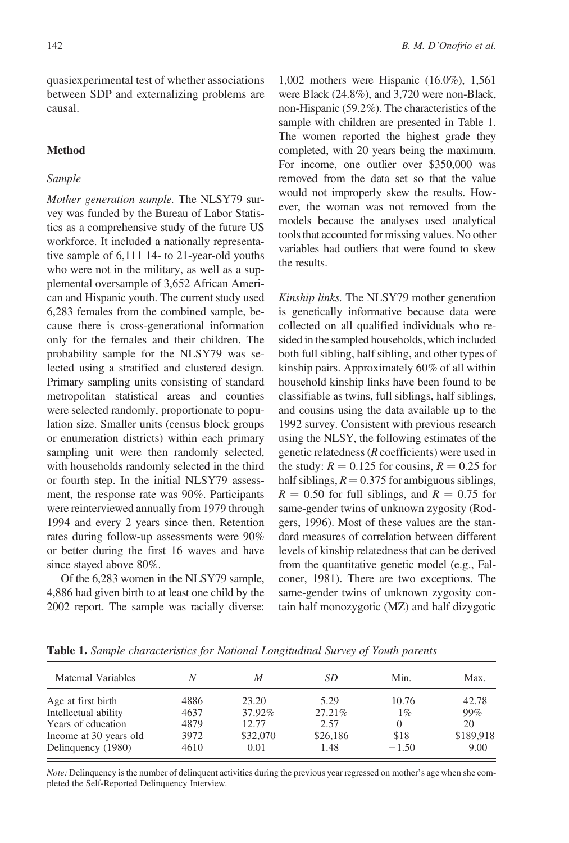quasiexperimental test of whether associations between SDP and externalizing problems are causal.

#### **Method**

#### Sample

Mother generation sample. The NLSY79 survey was funded by the Bureau of Labor Statistics as a comprehensive study of the future US workforce. It included a nationally representative sample of 6,111 14- to 21-year-old youths who were not in the military, as well as a supplemental oversample of 3,652 African American and Hispanic youth. The current study used 6,283 females from the combined sample, because there is cross-generational information only for the females and their children. The probability sample for the NLSY79 was selected using a stratified and clustered design. Primary sampling units consisting of standard metropolitan statistical areas and counties were selected randomly, proportionate to population size. Smaller units (census block groups or enumeration districts) within each primary sampling unit were then randomly selected, with households randomly selected in the third or fourth step. In the initial NLSY79 assessment, the response rate was 90%. Participants were reinterviewed annually from 1979 through 1994 and every 2 years since then. Retention rates during follow-up assessments were 90% or better during the first 16 waves and have since stayed above 80%.

Of the 6,283 women in the NLSY79 sample, 4,886 had given birth to at least one child by the 2002 report. The sample was racially diverse:

1,002 mothers were Hispanic (16.0%), 1,561 were Black (24.8%), and 3,720 were non-Black, non-Hispanic (59.2%). The characteristics of the sample with children are presented in Table 1. The women reported the highest grade they completed, with 20 years being the maximum. For income, one outlier over \$350,000 was removed from the data set so that the value would not improperly skew the results. However, the woman was not removed from the models because the analyses used analytical tools that accounted for missing values. No other variables had outliers that were found to skew the results.

Kinship links. The NLSY79 mother generation is genetically informative because data were collected on all qualified individuals who resided in the sampled households, which included both full sibling, half sibling, and other types of kinship pairs. Approximately 60% of all within household kinship links have been found to be classifiable as twins, full siblings, half siblings, and cousins using the data available up to the 1992 survey. Consistent with previous research using the NLSY, the following estimates of the genetic relatedness (R coefficients) were used in the study:  $R = 0.125$  for cousins,  $R = 0.25$  for half siblings,  $R = 0.375$  for ambiguous siblings,  $R = 0.50$  for full siblings, and  $R = 0.75$  for same-gender twins of unknown zygosity (Rodgers, 1996). Most of these values are the standard measures of correlation between different levels of kinship relatedness that can be derived from the quantitative genetic model (e.g., Falconer, 1981). There are two exceptions. The same-gender twins of unknown zygosity contain half monozygotic (MZ) and half dizygotic

| Maternal Variables     | Ν    | М        | SD       | Min.     | Max.      |
|------------------------|------|----------|----------|----------|-----------|
| Age at first birth     | 4886 | 23.20    | 5.29     | 10.76    | 42.78     |
| Intellectual ability   | 4637 | 37.92%   | 27.21%   | $1\%$    | 99%       |
| Years of education     | 4879 | 12.77    | 2.57     | $\theta$ | 20        |
| Income at 30 years old | 3972 | \$32,070 | \$26,186 | \$18     | \$189,918 |
| Delinquency (1980)     | 4610 | 0.01     | 1.48     | $-1.50$  | 9.00      |
|                        |      |          |          |          |           |

Table 1. Sample characteristics for National Longitudinal Survey of Youth parents

Note: Delinquency is the number of delinquent activities during the previous year regressed on mother's age when she completed the Self-Reported Delinquency Interview.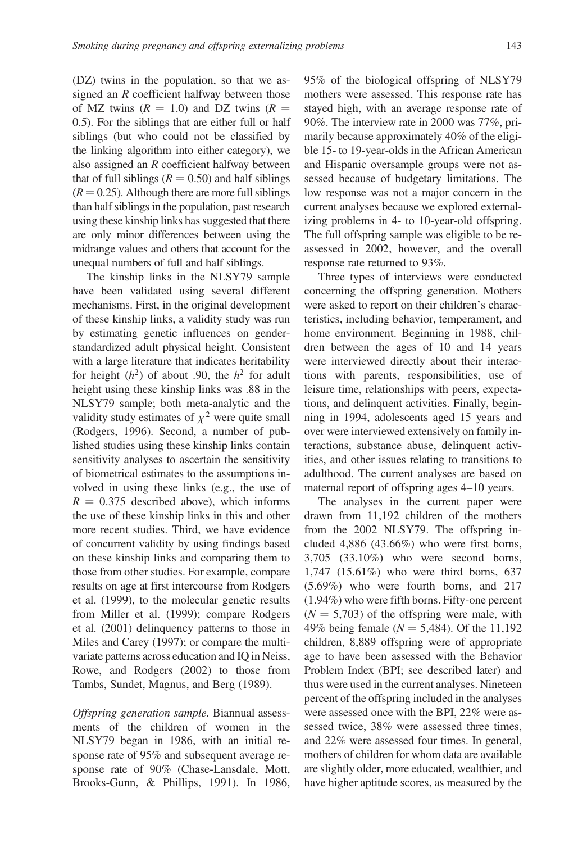(DZ) twins in the population, so that we assigned an R coefficient halfway between those of MZ twins  $(R = 1.0)$  and DZ twins  $(R =$ 0.5). For the siblings that are either full or half siblings (but who could not be classified by the linking algorithm into either category), we also assigned an R coefficient halfway between that of full siblings ( $R = 0.50$ ) and half siblings  $(R = 0.25)$ . Although there are more full siblings than half siblings in the population, past research using these kinship links has suggested that there are only minor differences between using the midrange values and others that account for the unequal numbers of full and half siblings.

The kinship links in the NLSY79 sample have been validated using several different mechanisms. First, in the original development of these kinship links, a validity study was run by estimating genetic influences on genderstandardized adult physical height. Consistent with a large literature that indicates heritability for height  $(h^2)$  of about .90, the  $h^2$  for adult height using these kinship links was .88 in the NLSY79 sample; both meta-analytic and the validity study estimates of  $\chi^2$  were quite small (Rodgers, 1996). Second, a number of published studies using these kinship links contain sensitivity analyses to ascertain the sensitivity of biometrical estimates to the assumptions involved in using these links (e.g., the use of  $R = 0.375$  described above), which informs the use of these kinship links in this and other more recent studies. Third, we have evidence of concurrent validity by using findings based on these kinship links and comparing them to those from other studies. For example, compare results on age at first intercourse from Rodgers et al. (1999), to the molecular genetic results from Miller et al. (1999); compare Rodgers et al. (2001) delinquency patterns to those in Miles and Carey (1997); or compare the multivariate patterns across education and IQ in Neiss, Rowe, and Rodgers (2002) to those from Tambs, Sundet, Magnus, and Berg (1989).

Offspring generation sample. Biannual assessments of the children of women in the NLSY79 began in 1986, with an initial response rate of 95% and subsequent average response rate of 90% (Chase-Lansdale, Mott, Brooks-Gunn, & Phillips, 1991). In 1986, 95% of the biological offspring of NLSY79 mothers were assessed. This response rate has stayed high, with an average response rate of 90%. The interview rate in 2000 was 77%, primarily because approximately 40% of the eligible 15- to 19-year-olds in the African American and Hispanic oversample groups were not assessed because of budgetary limitations. The low response was not a major concern in the current analyses because we explored externalizing problems in 4- to 10-year-old offspring. The full offspring sample was eligible to be reassessed in 2002, however, and the overall response rate returned to 93%.

Three types of interviews were conducted concerning the offspring generation. Mothers were asked to report on their children's characteristics, including behavior, temperament, and home environment. Beginning in 1988, children between the ages of 10 and 14 years were interviewed directly about their interactions with parents, responsibilities, use of leisure time, relationships with peers, expectations, and delinquent activities. Finally, beginning in 1994, adolescents aged 15 years and over were interviewed extensively on family interactions, substance abuse, delinquent activities, and other issues relating to transitions to adulthood. The current analyses are based on maternal report of offspring ages 4–10 years.

The analyses in the current paper were drawn from 11,192 children of the mothers from the 2002 NLSY79. The offspring included 4,886 (43.66%) who were first borns, 3,705 (33.10%) who were second borns, 1,747 (15.61%) who were third borns, 637 (5.69%) who were fourth borns, and 217 (1.94%) who were fifth borns. Fifty-one percent  $(N = 5,703)$  of the offspring were male, with 49% being female ( $N = 5,484$ ). Of the 11,192 children, 8,889 offspring were of appropriate age to have been assessed with the Behavior Problem Index (BPI; see described later) and thus were used in the current analyses. Nineteen percent of the offspring included in the analyses were assessed once with the BPI, 22% were assessed twice, 38% were assessed three times, and 22% were assessed four times. In general, mothers of children for whom data are available are slightly older, more educated, wealthier, and have higher aptitude scores, as measured by the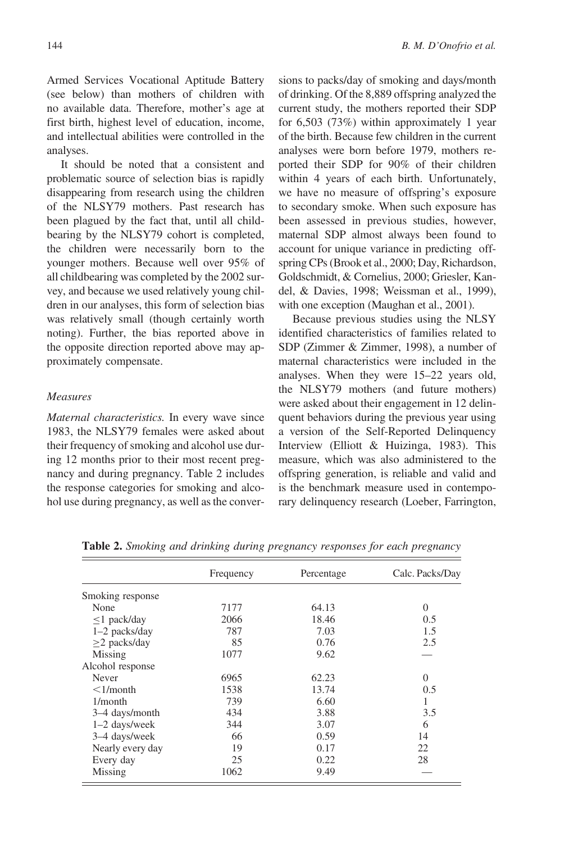Armed Services Vocational Aptitude Battery (see below) than mothers of children with no available data. Therefore, mother's age at first birth, highest level of education, income, and intellectual abilities were controlled in the analyses.

It should be noted that a consistent and problematic source of selection bias is rapidly disappearing from research using the children of the NLSY79 mothers. Past research has been plagued by the fact that, until all childbearing by the NLSY79 cohort is completed, the children were necessarily born to the younger mothers. Because well over 95% of all childbearing was completed by the 2002 survey, and because we used relatively young children in our analyses, this form of selection bias was relatively small (though certainly worth noting). Further, the bias reported above in the opposite direction reported above may approximately compensate.

#### Measures

Maternal characteristics. In every wave since 1983, the NLSY79 females were asked about their frequency of smoking and alcohol use during 12 months prior to their most recent pregnancy and during pregnancy. Table 2 includes the response categories for smoking and alcohol use during pregnancy, as well as the conversions to packs/day of smoking and days/month of drinking. Of the 8,889 offspring analyzed the current study, the mothers reported their SDP for 6,503 (73%) within approximately 1 year of the birth. Because few children in the current analyses were born before 1979, mothers reported their SDP for 90% of their children within 4 years of each birth. Unfortunately, we have no measure of offspring's exposure to secondary smoke. When such exposure has been assessed in previous studies, however, maternal SDP almost always been found to account for unique variance in predicting offspring CPs (Brook et al., 2000; Day, Richardson, Goldschmidt, & Cornelius, 2000; Griesler, Kandel, & Davies, 1998; Weissman et al., 1999), with one exception (Maughan et al., 2001).

Because previous studies using the NLSY identified characteristics of families related to SDP (Zimmer & Zimmer, 1998), a number of maternal characteristics were included in the analyses. When they were 15–22 years old, the NLSY79 mothers (and future mothers) were asked about their engagement in 12 delinquent behaviors during the previous year using a version of the Self-Reported Delinquency Interview (Elliott & Huizinga, 1983). This measure, which was also administered to the offspring generation, is reliable and valid and is the benchmark measure used in contemporary delinquency research (Loeber, Farrington,

|                   | Frequency | Percentage | Calc. Packs/Day |
|-------------------|-----------|------------|-----------------|
| Smoking response  |           |            |                 |
| None              | 7177      | 64.13      | $\Omega$        |
| $\leq$ 1 pack/day | 2066      | 18.46      | 0.5             |
| 1-2 packs/day     | 787       | 7.03       | 1.5             |
| $>2$ packs/day    | 85        | 0.76       | 2.5             |
| Missing           | 1077      | 9.62       |                 |
| Alcohol response  |           |            |                 |
| Never             | 6965      | 62.23      | $\Omega$        |
| $\leq$ 1/month    | 1538      | 13.74      | 0.5             |
| $1/m$ onth        | 739       | 6.60       |                 |
| 3–4 days/month    | 434       | 3.88       | 3.5             |
| $1-2$ days/week   | 344       | 3.07       | 6               |
| 3–4 days/week     | 66        | 0.59       | 14              |
| Nearly every day  | 19        | 0.17       | 22              |
| Every day         | 25        | 0.22       | 28              |
| Missing           | 1062      | 9.49       |                 |

Table 2. Smoking and drinking during pregnancy responses for each pregnancy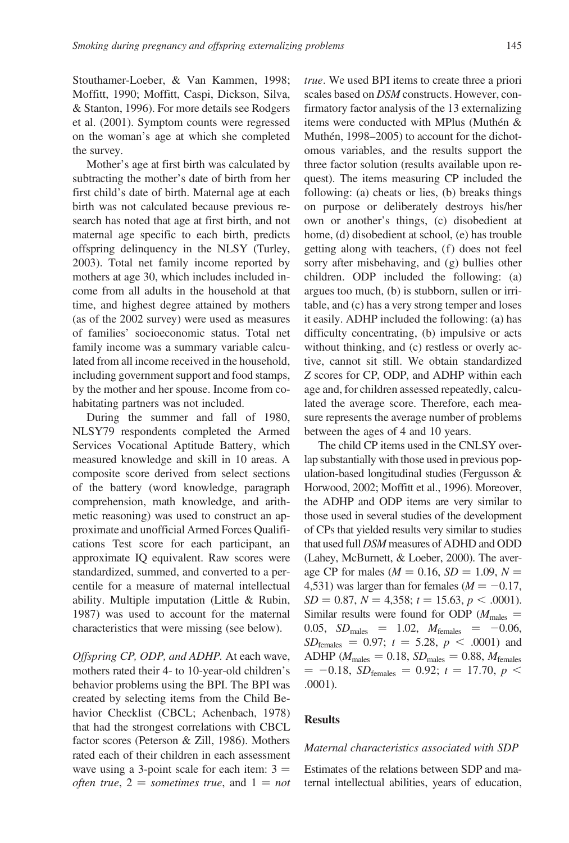Stouthamer-Loeber, & Van Kammen, 1998; Moffitt, 1990; Moffitt, Caspi, Dickson, Silva, & Stanton, 1996). For more details see Rodgers et al. (2001). Symptom counts were regressed on the woman's age at which she completed the survey.

Mother's age at first birth was calculated by subtracting the mother's date of birth from her first child's date of birth. Maternal age at each birth was not calculated because previous research has noted that age at first birth, and not maternal age specific to each birth, predicts offspring delinquency in the NLSY (Turley, 2003). Total net family income reported by mothers at age 30, which includes included income from all adults in the household at that time, and highest degree attained by mothers (as of the 2002 survey) were used as measures of families' socioeconomic status. Total net family income was a summary variable calculated from all income received in the household, including government support and food stamps, by the mother and her spouse. Income from cohabitating partners was not included.

During the summer and fall of 1980, NLSY79 respondents completed the Armed Services Vocational Aptitude Battery, which measured knowledge and skill in 10 areas. A composite score derived from select sections of the battery (word knowledge, paragraph comprehension, math knowledge, and arithmetic reasoning) was used to construct an approximate and unofficial Armed Forces Qualifications Test score for each participant, an approximate IQ equivalent. Raw scores were standardized, summed, and converted to a percentile for a measure of maternal intellectual ability. Multiple imputation (Little & Rubin, 1987) was used to account for the maternal characteristics that were missing (see below).

Offspring CP, ODP, and ADHP. At each wave, mothers rated their 4- to 10-year-old children's behavior problems using the BPI. The BPI was created by selecting items from the Child Behavior Checklist (CBCL; Achenbach, 1978) that had the strongest correlations with CBCL factor scores (Peterson & Zill, 1986). Mothers rated each of their children in each assessment wave using a 3-point scale for each item:  $3 =$ often true,  $2 =$  sometimes true, and  $1 = not$  true. We used BPI items to create three a priori scales based on DSM constructs. However, confirmatory factor analysis of the 13 externalizing items were conducted with MPlus (Muthén  $&$ Muthén, 1998–2005) to account for the dichotomous variables, and the results support the three factor solution (results available upon request). The items measuring CP included the following: (a) cheats or lies, (b) breaks things on purpose or deliberately destroys his/her own or another's things, (c) disobedient at home, (d) disobedient at school, (e) has trouble getting along with teachers, (f) does not feel sorry after misbehaving, and (g) bullies other children. ODP included the following: (a) argues too much, (b) is stubborn, sullen or irritable, and (c) has a very strong temper and loses it easily. ADHP included the following: (a) has difficulty concentrating, (b) impulsive or acts without thinking, and (c) restless or overly active, cannot sit still. We obtain standardized Z scores for CP, ODP, and ADHP within each age and, for children assessed repeatedly, calculated the average score. Therefore, each measure represents the average number of problems between the ages of 4 and 10 years.

The child CP items used in the CNLSY overlap substantially with those used in previous population-based longitudinal studies (Fergusson & Horwood, 2002; Moffitt et al., 1996). Moreover, the ADHP and ODP items are very similar to those used in several studies of the development of CPs that yielded results very similar to studies that used full DSM measures of ADHD and ODD (Lahey, McBurnett, & Loeber, 2000). The average CP for males ( $M = 0.16$ ,  $SD = 1.09$ ,  $N =$ 4,531) was larger than for females ( $M = -0.17$ ,  $SD = 0.87, N = 4,358; t = 15.63, p < .0001$ . Similar results were found for ODP ( $M_{\text{males}} =$ 0.05,  $SD_{males} = 1.02$ ,  $M_{females} = -0.06$ ,  $SD_{\text{females}} = 0.97; t = 5.28, p < .0001$  and ADHP ( $M_{\text{males}} = 0.18$ ,  $SD_{\text{males}} = 0.88$ ,  $M_{\text{females}}$  $= -0.18$ ,  $SD_{\text{females}} = 0.92$ ;  $t = 17.70$ ,  $p <$ .0001).

#### **Results**

#### Maternal characteristics associated with SDP

Estimates of the relations between SDP and maternal intellectual abilities, years of education,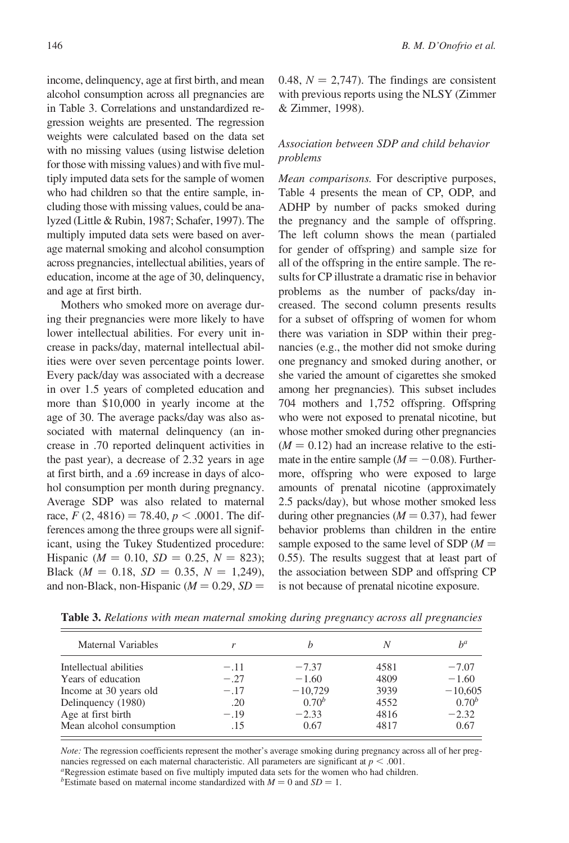income, delinquency, age at first birth, and mean alcohol consumption across all pregnancies are in Table 3. Correlations and unstandardized regression weights are presented. The regression weights were calculated based on the data set with no missing values (using listwise deletion for those with missing values) and with five multiply imputed data sets for the sample of women who had children so that the entire sample, including those with missing values, could be analyzed (Little & Rubin, 1987; Schafer, 1997). The multiply imputed data sets were based on average maternal smoking and alcohol consumption across pregnancies, intellectual abilities, years of education, income at the age of 30, delinquency, and age at first birth.

Mothers who smoked more on average during their pregnancies were more likely to have lower intellectual abilities. For every unit increase in packs/day, maternal intellectual abilities were over seven percentage points lower. Every pack/day was associated with a decrease in over 1.5 years of completed education and more than \$10,000 in yearly income at the age of 30. The average packs/day was also associated with maternal delinquency (an increase in .70 reported delinquent activities in the past year), a decrease of 2.32 years in age at first birth, and a .69 increase in days of alcohol consumption per month during pregnancy. Average SDP was also related to maternal race,  $F(2, 4816) = 78.40, p < .0001$ . The differences among the three groups were all significant, using the Tukey Studentized procedure: Hispanic ( $M = 0.10$ ,  $SD = 0.25$ ,  $N = 823$ ); Black  $(M = 0.18, SD = 0.35, N = 1,249)$ , and non-Black, non-Hispanic ( $M = 0.29$ ,  $SD =$  0.48,  $N = 2,747$ . The findings are consistent with previous reports using the NLSY (Zimmer & Zimmer, 1998).

### Association between SDP and child behavior problems

Mean comparisons. For descriptive purposes, Table 4 presents the mean of CP, ODP, and ADHP by number of packs smoked during the pregnancy and the sample of offspring. The left column shows the mean (partialed for gender of offspring) and sample size for all of the offspring in the entire sample. The results for CP illustrate a dramatic rise in behavior problems as the number of packs/day increased. The second column presents results for a subset of offspring of women for whom there was variation in SDP within their pregnancies (e.g., the mother did not smoke during one pregnancy and smoked during another, or she varied the amount of cigarettes she smoked among her pregnancies). This subset includes 704 mothers and 1,752 offspring. Offspring who were not exposed to prenatal nicotine, but whose mother smoked during other pregnancies  $(M = 0.12)$  had an increase relative to the estimate in the entire sample ( $M = -0.08$ ). Furthermore, offspring who were exposed to large amounts of prenatal nicotine (approximately 2.5 packs/day), but whose mother smoked less during other pregnancies ( $M = 0.37$ ), had fewer behavior problems than children in the entire sample exposed to the same level of SDP  $(M =$ 0.55). The results suggest that at least part of the association between SDP and offspring CP is not because of prenatal nicotine exposure.

|        |            | N    | $b^a$      |
|--------|------------|------|------------|
| $-.11$ | $-7.37$    | 4581 | $-7.07$    |
| $-.27$ | $-1.60$    | 4809 | $-1.60$    |
| $-.17$ | $-10,729$  | 3939 | $-10,605$  |
| .20    | $0.70^{b}$ | 4552 | $0.70^{b}$ |
| $-.19$ | $-2.33$    | 4816 | $-2.32$    |
| .15    | 0.67       | 4817 | 0.67       |
|        |            |      |            |

Table 3. Relations with mean maternal smoking during pregnancy across all pregnancies

Note: The regression coefficients represent the mother's average smoking during pregnancy across all of her pregnancies regressed on each maternal characteristic. All parameters are significant at  $p < .001$ .<br><sup>a</sup>Regression estimate based on five multiply imputed data sets for the women who had children.

<sup>b</sup>Estimate based on maternal income standardized with  $M = 0$  and  $SD = 1$ .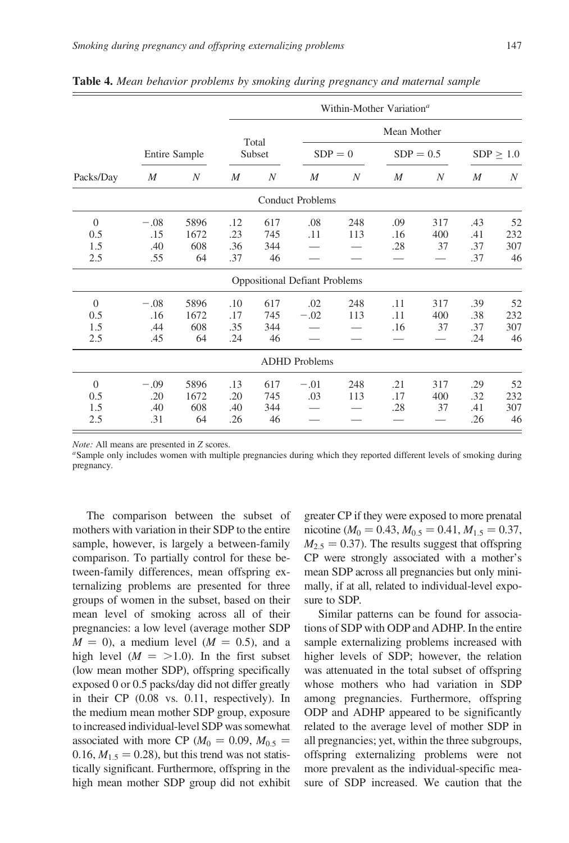|                               |                             |                           |                          |                         |                                      | Within-Mother Variation <sup>a</sup> |                   |                  |                          |                        |
|-------------------------------|-----------------------------|---------------------------|--------------------------|-------------------------|--------------------------------------|--------------------------------------|-------------------|------------------|--------------------------|------------------------|
|                               |                             |                           |                          |                         |                                      |                                      | Mean Mother       |                  |                          |                        |
|                               |                             | Entire Sample             |                          | Total<br>Subset         | $SDP = 0$                            |                                      | $SDP = 0.5$       |                  |                          | $SDP \geq 1.0$         |
| Packs/Day                     | $\boldsymbol{M}$            | $\boldsymbol{N}$          | M                        | $\boldsymbol{N}$        | $\boldsymbol{M}$                     | $\boldsymbol{N}$                     | M                 | N                | M                        | $\boldsymbol{N}$       |
|                               |                             |                           |                          |                         | <b>Conduct Problems</b>              |                                      |                   |                  |                          |                        |
| $\Omega$<br>0.5               | $-.08$<br>.15               | 5896<br>1672              | .12<br>.23               | 617<br>745              | .08<br>.11                           | 248<br>113                           | .09<br>.16        | 317<br>400       | .43<br>.41               | 52<br>232              |
| 1.5<br>2.5                    | .40<br>.55                  | 608<br>64                 | .36<br>.37               | 344<br>46               |                                      |                                      | .28               | 37               | .37<br>.37               | 307<br>46              |
|                               |                             |                           |                          |                         | <b>Oppositional Defiant Problems</b> |                                      |                   |                  |                          |                        |
| $\Omega$<br>0.5<br>1.5<br>2.5 | $-.08$<br>.16<br>.44<br>.45 | 5896<br>1672<br>608<br>64 | .10<br>.17<br>.35<br>.24 | 617<br>745<br>344<br>46 | .02<br>$-.02$                        | 248<br>113                           | .11<br>.11<br>.16 | 317<br>400<br>37 | .39<br>.38<br>.37<br>.24 | 52<br>232<br>307<br>46 |
|                               |                             |                           |                          |                         | <b>ADHD</b> Problems                 |                                      |                   |                  |                          |                        |
| $\theta$<br>0.5<br>1.5<br>2.5 | $-.09$<br>.20<br>.40<br>.31 | 5896<br>1672<br>608<br>64 | .13<br>.20<br>.40<br>.26 | 617<br>745<br>344<br>46 | $-.01$<br>.03                        | 248<br>113                           | .21<br>.17<br>.28 | 317<br>400<br>37 | .29<br>.32<br>.41<br>.26 | 52<br>232<br>307<br>46 |

Table 4. Mean behavior problems by smoking during pregnancy and maternal sample

Note: All means are presented in Z scores.

<sup>a</sup>Sample only includes women with multiple pregnancies during which they reported different levels of smoking during pregnancy.

The comparison between the subset of mothers with variation in their SDP to the entire sample, however, is largely a between-family comparison. To partially control for these between-family differences, mean offspring externalizing problems are presented for three groups of women in the subset, based on their mean level of smoking across all of their pregnancies: a low level (average mother SDP  $M = 0$ , a medium level  $(M = 0.5)$ , and a high level  $(M = >1.0)$ . In the first subset (low mean mother SDP), offspring specifically exposed 0 or 0.5 packs/day did not differ greatly in their CP (0.08 vs. 0.11, respectively). In the medium mean mother SDP group, exposure to increased individual-level SDP was somewhat associated with more CP ( $M_0 = 0.09$ ,  $M_{0.5} =$ 0.16,  $M_{1.5} = 0.28$ ), but this trend was not statistically significant. Furthermore, offspring in the high mean mother SDP group did not exhibit greater CP if they were exposed to more prenatal nicotine ( $M_0 = 0.43, M_{0.5} = 0.41, M_{1.5} = 0.37,$  $M<sub>2.5</sub> = 0.37$ . The results suggest that offspring CP were strongly associated with a mother's mean SDP across all pregnancies but only minimally, if at all, related to individual-level exposure to SDP.

Similar patterns can be found for associations of SDP with ODP and ADHP. In the entire sample externalizing problems increased with higher levels of SDP; however, the relation was attenuated in the total subset of offspring whose mothers who had variation in SDP among pregnancies. Furthermore, offspring ODP and ADHP appeared to be significantly related to the average level of mother SDP in all pregnancies; yet, within the three subgroups, offspring externalizing problems were not more prevalent as the individual-specific measure of SDP increased. We caution that the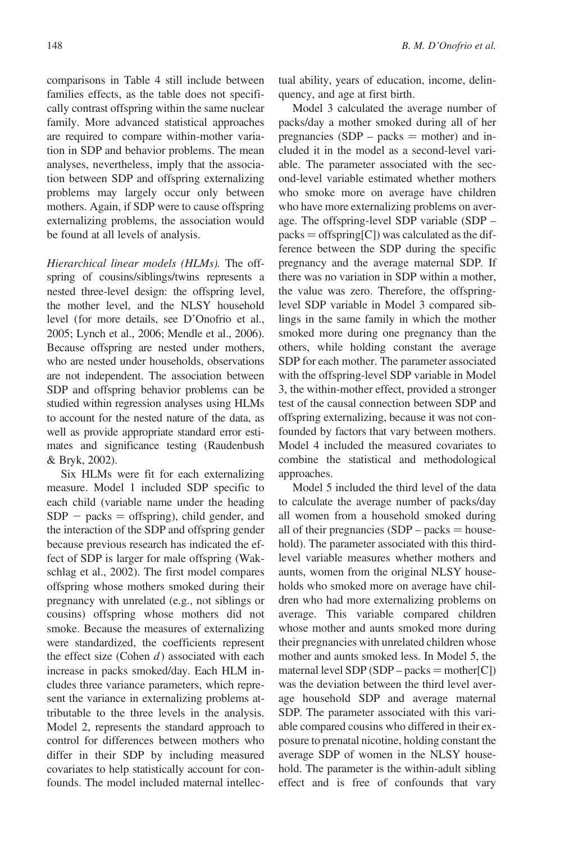comparisons in Table 4 still include between families effects, as the table does not specifically contrast offspring within the same nuclear family. More advanced statistical approaches are required to compare within-mother variation in SDP and behavior problems. The mean analyses, nevertheless, imply that the association between SDP and offspring externalizing problems may largely occur only between mothers. Again, if SDP were to cause offspring externalizing problems, the association would be found at all levels of analysis.

Hierarchical linear models (HLMs). The offspring of cousins/siblings/twins represents a nested three-level design: the offspring level, the mother level, and the NLSY household level (for more details, see D'Onofrio et al., 2005; Lynch et al., 2006; Mendle et al., 2006). Because offspring are nested under mothers, who are nested under households, observations are not independent. The association between SDP and offspring behavior problems can be studied within regression analyses using HLMs to account for the nested nature of the data, as well as provide appropriate standard error estimates and significance testing (Raudenbush & Bryk, 2002).

Six HLMs were fit for each externalizing measure. Model 1 included SDP specific to each child (variable name under the heading  $SDP$  – packs = offspring), child gender, and the interaction of the SDP and offspring gender because previous research has indicated the effect of SDP is larger for male offspring (Wakschlag et al., 2002). The first model compares offspring whose mothers smoked during their pregnancy with unrelated (e.g., not siblings or cousins) offspring whose mothers did not smoke. Because the measures of externalizing were standardized, the coefficients represent the effect size (Cohen  $d$ ) associated with each increase in packs smoked/day. Each HLM includes three variance parameters, which represent the variance in externalizing problems attributable to the three levels in the analysis. Model 2, represents the standard approach to control for differences between mothers who differ in their SDP by including measured covariates to help statistically account for confounds. The model included maternal intellectual ability, years of education, income, delinquency, and age at first birth.

Model 3 calculated the average number of packs/day a mother smoked during all of her pregnancies (SDP – packs  $=$  mother) and included it in the model as a second-level variable. The parameter associated with the second-level variable estimated whether mothers who smoke more on average have children who have more externalizing problems on average. The offspring-level SDP variable (SDP –  $packs = offspring[C])$  was calculated as the difference between the SDP during the specific pregnancy and the average maternal SDP. If there was no variation in SDP within a mother, the value was zero. Therefore, the offspringlevel SDP variable in Model 3 compared siblings in the same family in which the mother smoked more during one pregnancy than the others, while holding constant the average SDP for each mother. The parameter associated with the offspring-level SDP variable in Model 3, the within-mother effect, provided a stronger test of the causal connection between SDP and offspring externalizing, because it was not confounded by factors that vary between mothers. Model 4 included the measured covariates to combine the statistical and methodological approaches.

Model 5 included the third level of the data to calculate the average number of packs/day all women from a household smoked during all of their pregnancies  $(SDP - packets = house$ hold). The parameter associated with this thirdlevel variable measures whether mothers and aunts, women from the original NLSY households who smoked more on average have children who had more externalizing problems on average. This variable compared children whose mother and aunts smoked more during their pregnancies with unrelated children whose mother and aunts smoked less. In Model 5, the maternal level SDP (SDP – packs = mother[C]) was the deviation between the third level average household SDP and average maternal SDP. The parameter associated with this variable compared cousins who differed in their exposure to prenatal nicotine, holding constant the average SDP of women in the NLSY household. The parameter is the within-adult sibling effect and is free of confounds that vary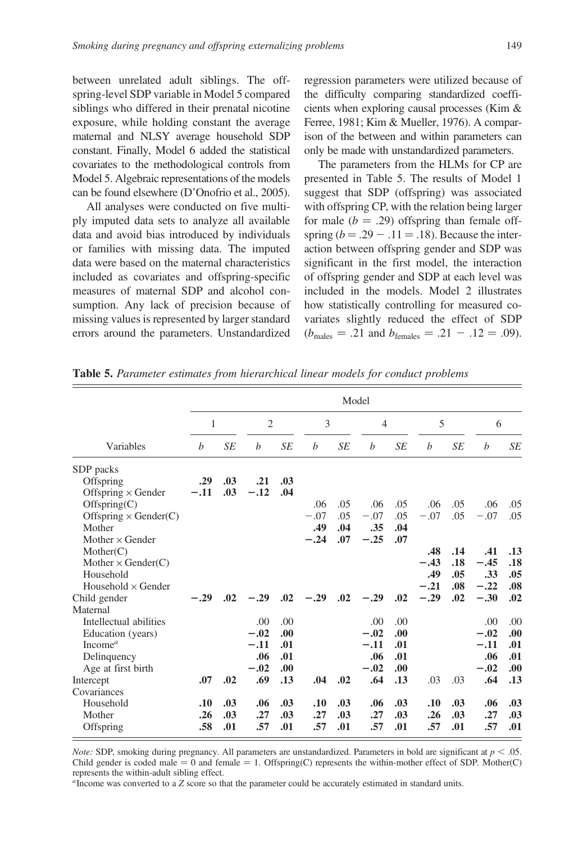between unrelated adult siblings. The offspring-level SDP variable in Model 5 compared siblings who differed in their prenatal nicotine exposure, while holding constant the average maternal and NLSY average household SDP constant. Finally, Model 6 added the statistical covariates to the methodological controls from Model 5. Algebraic representations of the models can be found elsewhere (D'Onofrio et al., 2005).

All analyses were conducted on five multiply imputed data sets to analyze all available data and avoid bias introduced by individuals or families with missing data. The imputed data were based on the maternal characteristics included as covariates and offspring-specific measures of maternal SDP and alcohol consumption. Any lack of precision because of missing values is represented by larger standard errors around the parameters. Unstandardized regression parameters were utilized because of the difficulty comparing standardized coefficients when exploring causal processes (Kim & Ferree, 1981; Kim & Mueller, 1976). A comparison of the between and within parameters can only be made with unstandardized parameters.

The parameters from the HLMs for CP are presented in Table 5. The results of Model 1 suggest that SDP (offspring) was associated with offspring CP, with the relation being larger for male  $(b = .29)$  offspring than female offspring ( $b = .29 - .11 = .18$ ). Because the interaction between offspring gender and SDP was significant in the first model, the interaction of offspring gender and SDP at each level was included in the models. Model 2 illustrates how statistically controlling for measured covariates slightly reduced the effect of SDP  $(b_{\text{males}} = .21 \text{ and } b_{\text{females}} = .21 - .12 = .09).$ 

|                                                                                                                      |                   |                   |                                           |                                  |                                |                          | Model                                     |                                   |                                |                          |                                          |                                 |
|----------------------------------------------------------------------------------------------------------------------|-------------------|-------------------|-------------------------------------------|----------------------------------|--------------------------------|--------------------------|-------------------------------------------|-----------------------------------|--------------------------------|--------------------------|------------------------------------------|---------------------------------|
|                                                                                                                      | 1                 |                   | $\overline{2}$                            |                                  | 3                              |                          | $\overline{4}$                            |                                   | 5                              |                          | 6                                        |                                 |
| Variables                                                                                                            | b                 | SE                | b                                         | SE                               | b                              | <b>SE</b>                | b                                         | SE                                | b                              | <b>SE</b>                | b                                        | SE                              |
| SDP packs<br>Offspring<br>Offspring $\times$ Gender                                                                  | .29<br>$-.11$     | .03<br>.03        | .21<br>$-.12$                             | .03<br>.04                       |                                |                          |                                           |                                   |                                |                          |                                          |                                 |
| Offspring(C)<br>Offspring $\times$ Gender(C)<br>Mother<br>Mother $\times$ Gender                                     |                   |                   |                                           |                                  | .06<br>$-.07$<br>.49<br>$-.24$ | .05<br>.05<br>.04<br>.07 | .06<br>$-.07$<br>.35<br>$-.25$            | .05<br>.05<br>.04<br>.07          | .06<br>$-.07$                  | .05<br>.05               | .06<br>$-.07$                            | .05<br>.05                      |
| Mother(C)<br>Mother $\times$ Gender(C)<br>Household<br>Household $\times$ Gender                                     |                   |                   |                                           |                                  |                                |                          |                                           |                                   | .48<br>$-.43$<br>.49<br>$-.21$ | .14<br>.18<br>.05<br>.08 | .41<br>$-.45$<br>.33<br>$-.22$           | .13<br>.18<br>.05<br>.08        |
| Child gender<br>Maternal                                                                                             | $-.29$            | .02               | $-.29$                                    | .02                              | $-.29$                         | .02                      | $-.29$                                    | .02                               | $-.29$                         | .02                      | $-.30$                                   | .02                             |
| Intellectual abilities<br>Education (years)<br>Income <sup><math>a</math></sup><br>Delinquency<br>Age at first birth |                   |                   | .00.<br>$-.02$<br>$-.11$<br>.06<br>$-.02$ | .00<br>.00.<br>.01<br>.01<br>.00 |                                |                          | .00.<br>$-.02$<br>$-.11$<br>.06<br>$-.02$ | .00.<br>.00.<br>.01<br>.01<br>.00 |                                |                          | .00<br>$-.02$<br>$-.11$<br>.06<br>$-.02$ | .00<br>.00<br>.01<br>.01<br>.00 |
| Intercept<br>Covariances                                                                                             | .07               | .02               | .69                                       | .13                              | .04                            | .02                      | .64                                       | .13                               | .03                            | .03                      | .64                                      | .13                             |
| Household<br>Mother<br>Offspring                                                                                     | .10<br>.26<br>.58 | .03<br>.03<br>.01 | .06<br>.27<br>.57                         | .03<br>.03<br>.01                | .10<br>.27<br>.57              | .03<br>.03<br>.01        | .06<br>.27<br>.57                         | .03<br>.03<br>.01                 | .10<br>.26<br>.57              | .03<br>.03<br>.01        | .06<br>.27<br>.57                        | .03<br>.03<br>.01               |

Table 5. Parameter estimates from hierarchical linear models for conduct problems

*Note:* SDP, smoking during pregnancy. All parameters are unstandardized. Parameters in bold are significant at  $p < .05$ . Child gender is coded male  $= 0$  and female  $= 1$ . Offspring(C) represents the within-mother effect of SDP. Mother(C) represents the within-adult sibling effect.

 $a$ Income was converted to a  $Z$  score so that the parameter could be accurately estimated in standard units.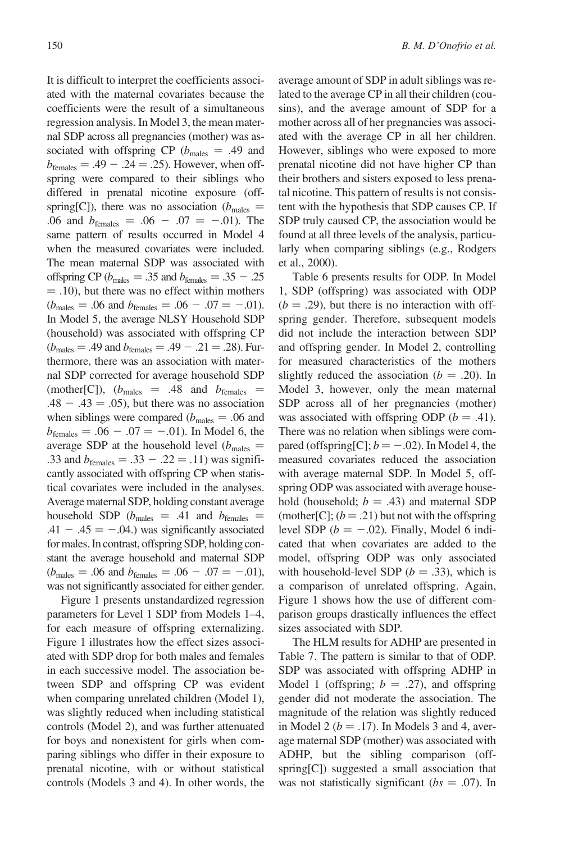It is difficult to interpret the coefficients associated with the maternal covariates because the coefficients were the result of a simultaneous regression analysis. In Model 3, the mean maternal SDP across all pregnancies (mother) was associated with offspring CP ( $b_{\text{males}} = .49$  and  $b_{\text{females}} = .49 - .24 = .25$ . However, when offspring were compared to their siblings who differed in prenatal nicotine exposure (offspring[C]), there was no association ( $b_{\text{males}} =$ .06 and  $b_{\text{females}} = .06 - .07 = -.01$ . The same pattern of results occurred in Model 4 when the measured covariates were included. The mean maternal SDP was associated with offspring CP ( $b_{\text{males}} = .35$  and  $b_{\text{females}} = .35 - .25$  $=$  .10), but there was no effect within mothers  $(b_{\text{males}} = .06 \text{ and } b_{\text{females}} = .06 - .07 = -.01).$ In Model 5, the average NLSY Household SDP (household) was associated with offspring CP  $(b_{\text{males}} = .49 \text{ and } b_{\text{females}} = .49 - .21 = .28)$ . Furthermore, there was an association with maternal SDP corrected for average household SDP (mother[C]),  $(b_{\text{males}} = .48 \text{ and } b_{\text{females}} =$  $.48 - .43 = .05$ , but there was no association when siblings were compared ( $b<sub>males</sub> = .06$  and  $b_{\text{females}} = .06 - .07 = -.01$ ). In Model 6, the average SDP at the household level ( $b_{\text{males}} =$ .33 and  $b_{\text{females}} = .33 - .22 = .11)$  was significantly associated with offspring CP when statistical covariates were included in the analyses. Average maternal SDP, holding constant average household SDP ( $b_{\text{males}} = .41$  and  $b_{\text{females}} =$  $.41 - .45 = -0.04$ .) was significantly associated for males. In contrast, offspring SDP, holding constant the average household and maternal SDP  $(b_{\text{males}} = .06 \text{ and } b_{\text{females}} = .06 - .07 = -.01),$ was not significantly associated for either gender.

Figure 1 presents unstandardized regression parameters for Level 1 SDP from Models 1–4, for each measure of offspring externalizing. Figure 1 illustrates how the effect sizes associated with SDP drop for both males and females in each successive model. The association between SDP and offspring CP was evident when comparing unrelated children (Model 1), was slightly reduced when including statistical controls (Model 2), and was further attenuated for boys and nonexistent for girls when comparing siblings who differ in their exposure to prenatal nicotine, with or without statistical controls (Models 3 and 4). In other words, the average amount of SDP in adult siblings was related to the average CP in all their children (cousins), and the average amount of SDP for a mother across all of her pregnancies was associated with the average CP in all her children. However, siblings who were exposed to more prenatal nicotine did not have higher CP than their brothers and sisters exposed to less prenatal nicotine. This pattern of results is not consistent with the hypothesis that SDP causes CP. If SDP truly caused CP, the association would be found at all three levels of the analysis, particularly when comparing siblings (e.g., Rodgers et al., 2000).

Table 6 presents results for ODP. In Model 1, SDP (offspring) was associated with ODP  $(b = .29)$ , but there is no interaction with offspring gender. Therefore, subsequent models did not include the interaction between SDP and offspring gender. In Model 2, controlling for measured characteristics of the mothers slightly reduced the association ( $b = .20$ ). In Model 3, however, only the mean maternal SDP across all of her pregnancies (mother) was associated with offspring ODP ( $b = .41$ ). There was no relation when siblings were compared (offspring[C];  $b = -.02$ ). In Model 4, the measured covariates reduced the association with average maternal SDP. In Model 5, offspring ODP was associated with average household (household;  $b = .43$ ) and maternal SDP (mother[C];  $(b = .21)$  but not with the offspring level SDP ( $b = -.02$ ). Finally, Model 6 indicated that when covariates are added to the model, offspring ODP was only associated with household-level SDP ( $b = .33$ ), which is a comparison of unrelated offspring. Again, Figure 1 shows how the use of different comparison groups drastically influences the effect sizes associated with SDP.

The HLM results for ADHP are presented in Table 7. The pattern is similar to that of ODP. SDP was associated with offspring ADHP in Model 1 (offspring;  $b = .27$ ), and offspring gender did not moderate the association. The magnitude of the relation was slightly reduced in Model 2 ( $b = .17$ ). In Models 3 and 4, average maternal SDP (mother) was associated with ADHP, but the sibling comparison (offspring[C]) suggested a small association that was not statistically significant ( $bs = .07$ ). In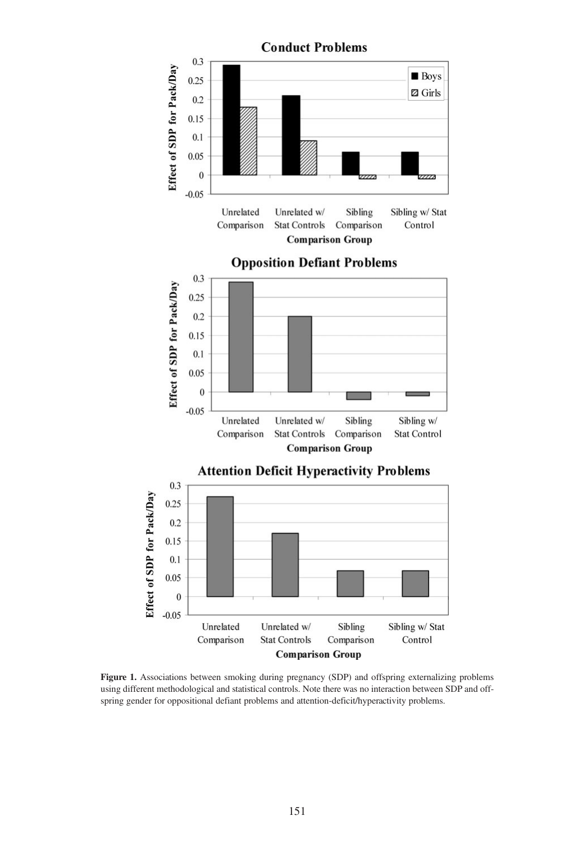

Figure 1. Associations between smoking during pregnancy (SDP) and offspring externalizing problems using different methodological and statistical controls. Note there was no interaction between SDP and offspring gender for oppositional defiant problems and attention-deficit/hyperactivity problems.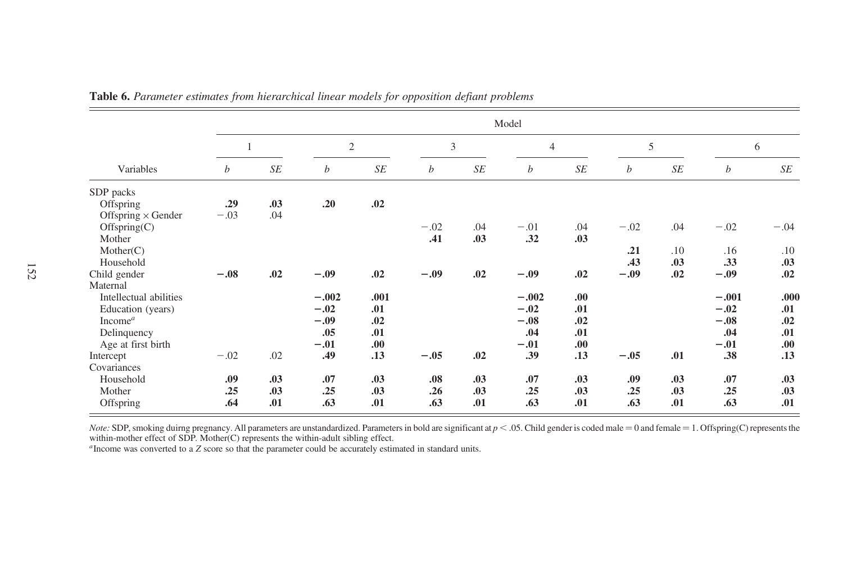|                           |                  |     |                |      |                |     | Model            |                      |                  |           |         |        |
|---------------------------|------------------|-----|----------------|------|----------------|-----|------------------|----------------------|------------------|-----------|---------|--------|
|                           |                  |     | $\mathfrak{2}$ |      | $\mathfrak{Z}$ |     | $\overline{4}$   |                      | 5                |           |         | 6      |
| Variables                 | $\boldsymbol{b}$ | SE  | b              | SE   | b              | SE  | $\boldsymbol{b}$ | $S\hspace{-0.08em}E$ | $\boldsymbol{b}$ | $\cal SE$ | b       | SE     |
| SDP packs                 |                  |     |                |      |                |     |                  |                      |                  |           |         |        |
| Offspring                 | .29              | .03 | .20            | .02  |                |     |                  |                      |                  |           |         |        |
| Offspring $\times$ Gender | $-.03$           | .04 |                |      |                |     |                  |                      |                  |           |         |        |
| Offspring(C)              |                  |     |                |      | $-.02$         | .04 | $-.01$           | .04                  | $-.02$           | .04       | $-.02$  | $-.04$ |
| Mother                    |                  |     |                |      | .41            | .03 | .32              | .03                  |                  |           |         |        |
| Mother(C)                 |                  |     |                |      |                |     |                  |                      | .21              | .10       | .16     | .10    |
| Household                 |                  |     |                |      |                |     |                  |                      | .43              | .03       | .33     | .03    |
| Child gender              | $-.08$           | .02 | $-.09$         | .02  | $-.09$         | .02 | $-.09$           | .02                  | $-.09$           | .02       | $-.09$  | .02    |
| Maternal                  |                  |     |                |      |                |     |                  |                      |                  |           |         |        |
| Intellectual abilities    |                  |     | $-.002$        | .001 |                |     | $-.002$          | .00.                 |                  |           | $-.001$ | .000   |
| Education (years)         |                  |     | $-.02$         | .01  |                |     | $-.02$           | .01                  |                  |           | $-.02$  | .01    |
| Income $^a$               |                  |     | $-.09$         | .02  |                |     | $-.08$           | .02                  |                  |           | $-.08$  | .02    |
| Delinquency               |                  |     | .05            | .01  |                |     | .04              | .01                  |                  |           | .04     | .01    |
| Age at first birth        |                  |     | $-.01$         | .00. |                |     | $-.01$           | .00.                 |                  |           | $-.01$  | .00    |
| Intercept                 | $-.02$           | .02 | .49            | .13  | $-.05$         | .02 | .39              | .13                  | $-.05$           | .01       | .38     | .13    |
| Covariances               |                  |     |                |      |                |     |                  |                      |                  |           |         |        |
| Household                 | .09              | .03 | .07            | .03  | .08            | .03 | .07              | .03                  | .09              | .03       | .07     | .03    |
| Mother                    | .25              | .03 | .25            | .03  | .26            | .03 | .25              | .03                  | .25              | .03       | .25     | .03    |
| Offspring                 | .64              | .01 | .63            | .01  | .63            | .01 | .63              | .01                  | .63              | .01       | .63     | .01    |

Table 6. Parameter estimates from hierarchical linear models for opposition defiant problems

Note: SDP, smoking duirng pregnancy. All parameters are unstandardized. Parameters in bold are significant at  $p < .05$ . Child gender is coded male = 0 and female = 1. Offspring(C) represents the within-mother effect of SDP. Mother(C) represents the within-adult sibling effect.

<sup>a</sup>Income was converted to a Z score so that the parameter could be accurately estimated in standard units.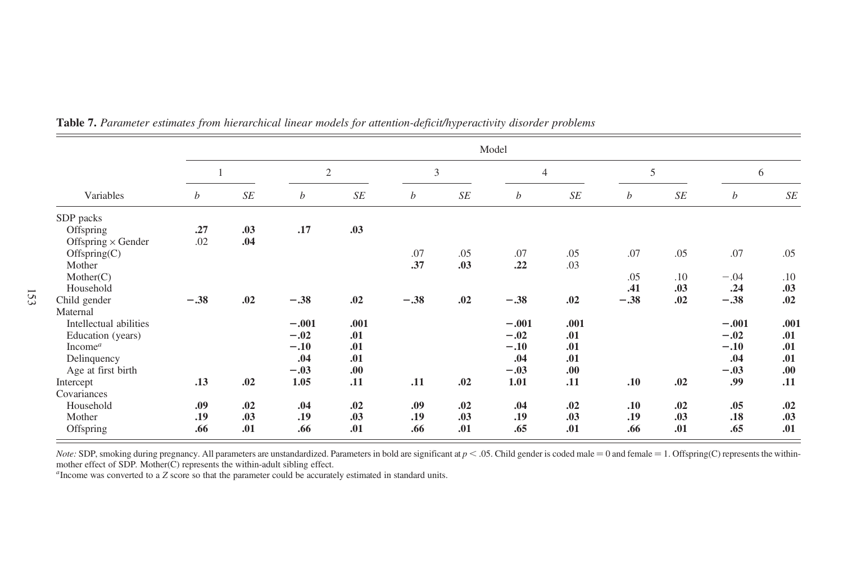|                           |                  |                      |                |      |                  |                | Model            |                |                  |     |                  |           |  |
|---------------------------|------------------|----------------------|----------------|------|------------------|----------------|------------------|----------------|------------------|-----|------------------|-----------|--|
|                           |                  |                      | $\mathfrak{2}$ |      |                  | $\mathfrak{Z}$ |                  | $\overline{4}$ |                  | 5   |                  | 6         |  |
| Variables                 | $\boldsymbol{b}$ | $S\hspace{-0.08em}E$ | b              | SE   | $\boldsymbol{b}$ | SE             | $\boldsymbol{b}$ | $\cal SE$      | $\boldsymbol{b}$ | SE  | $\boldsymbol{b}$ | $\cal SE$ |  |
| SDP packs                 |                  |                      |                |      |                  |                |                  |                |                  |     |                  |           |  |
| Offspring                 | .27              | .03                  | .17            | .03  |                  |                |                  |                |                  |     |                  |           |  |
| Offspring $\times$ Gender | .02              | .04                  |                |      |                  |                |                  |                |                  |     |                  |           |  |
| Offspring(C)              |                  |                      |                |      | .07              | .05            | .07              | .05            | .07              | .05 | .07              | .05       |  |
| Mother                    |                  |                      |                |      | .37              | .03            | .22              | .03            |                  |     |                  |           |  |
| Mother(C)                 |                  |                      |                |      |                  |                |                  |                | .05              | .10 | $-.04$           | .10       |  |
| Household                 |                  |                      |                |      |                  |                |                  |                | .41              | .03 | .24              | .03       |  |
| Child gender              | $-.38$           | .02                  | $-.38$         | .02  | $-.38$           | .02            | $-.38$           | .02            | $-.38$           | .02 | $-.38$           | .02       |  |
| Maternal                  |                  |                      |                |      |                  |                |                  |                |                  |     |                  |           |  |
| Intellectual abilities    |                  |                      | $-.001$        | .001 |                  |                | $-.001$          | .001           |                  |     | $-.001$          | .001      |  |
| Education (years)         |                  |                      | $-.02$         | .01  |                  |                | $-.02$           | .01            |                  |     | $-.02$           | .01       |  |
| Income <sup>a</sup>       |                  |                      | $-.10$         | .01  |                  |                | $-.10$           | .01            |                  |     | $-.10$           | .01       |  |
| Delinquency               |                  |                      | .04            | .01  |                  |                | .04              | .01            |                  |     | .04              | .01       |  |
| Age at first birth        |                  |                      | $-.03$         | .00. |                  |                | $-.03$           | .00.           |                  |     | $-.03$           | .00       |  |
| Intercept                 | .13              | .02                  | 1.05           | .11  | .11              | .02            | 1.01             | .11            | .10              | .02 | .99              | .11       |  |
| Covariances               |                  |                      |                |      |                  |                |                  |                |                  |     |                  |           |  |
| Household                 | .09              | .02                  | .04            | .02  | .09              | .02            | .04              | .02            | .10              | .02 | .05              | .02       |  |
| Mother                    | .19              | .03                  | .19            | .03  | .19              | .03            | .19              | .03            | .19              | .03 | .18              | .03       |  |
| Offspring                 | .66              | .01                  | .66            | .01  | .66              | .01            | .65              | .01            | .66              | .01 | .65              | .01       |  |

Table 7. Parameter estimates from hierarchical linear models for attention-deficit/hyperactivity disorder problems

*Note:* SDP, smoking during pregnancy. All parameters are unstandardized. Parameters in bold are significant at  $p < .05$ . Child gender is coded male = 0 and female = 1. Offspring(C) represents the within-mother effect of S

<sup>a</sup>Income was converted to a Z score so that the parameter could be accurately estimated in standard units.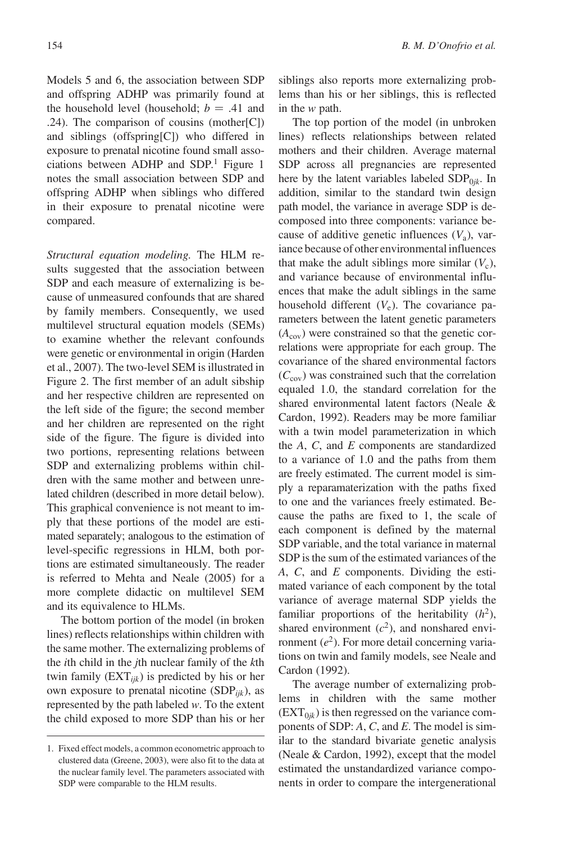Models 5 and 6, the association between SDP and offspring ADHP was primarily found at the household level (household;  $b = .41$  and .24). The comparison of cousins (mother[C]) and siblings (offspring[C]) who differed in exposure to prenatal nicotine found small associations between ADHP and  $SDP<sup>1</sup>$  Figure 1 notes the small association between SDP and offspring ADHP when siblings who differed in their exposure to prenatal nicotine were compared.

Structural equation modeling. The HLM results suggested that the association between SDP and each measure of externalizing is because of unmeasured confounds that are shared by family members. Consequently, we used multilevel structural equation models (SEMs) to examine whether the relevant confounds were genetic or environmental in origin (Harden et al., 2007). The two-level SEM is illustrated in Figure 2. The first member of an adult sibship and her respective children are represented on the left side of the figure; the second member and her children are represented on the right side of the figure. The figure is divided into two portions, representing relations between SDP and externalizing problems within children with the same mother and between unrelated children (described in more detail below). This graphical convenience is not meant to imply that these portions of the model are estimated separately; analogous to the estimation of level-specific regressions in HLM, both portions are estimated simultaneously. The reader is referred to Mehta and Neale (2005) for a more complete didactic on multilevel SEM and its equivalence to HLMs.

The bottom portion of the model (in broken lines) reflects relationships within children with the same mother. The externalizing problems of the ith child in the jth nuclear family of the kth twin family  $(EXT_{ijk})$  is predicted by his or her own exposure to prenatal nicotine  $(SDP<sub>ijk</sub>)$ , as represented by the path labeled w. To the extent the child exposed to more SDP than his or her siblings also reports more externalizing problems than his or her siblings, this is reflected in the w path.

The top portion of the model (in unbroken lines) reflects relationships between related mothers and their children. Average maternal SDP across all pregnancies are represented here by the latent variables labeled  $SDP<sub>0ik</sub>$ . In addition, similar to the standard twin design path model, the variance in average SDP is decomposed into three components: variance because of additive genetic influences  $(V_a)$ , variance because of other environmental influences that make the adult siblings more similar  $(V_c)$ , and variance because of environmental influences that make the adult siblings in the same household different  $(V_e)$ . The covariance parameters between the latent genetic parameters  $(A_{\text{cov}})$  were constrained so that the genetic correlations were appropriate for each group. The covariance of the shared environmental factors  $(C_{\text{cov}})$  was constrained such that the correlation equaled 1.0, the standard correlation for the shared environmental latent factors (Neale & Cardon, 1992). Readers may be more familiar with a twin model parameterization in which the A, C, and E components are standardized to a variance of 1.0 and the paths from them are freely estimated. The current model is simply a reparamaterization with the paths fixed to one and the variances freely estimated. Because the paths are fixed to 1, the scale of each component is defined by the maternal SDP variable, and the total variance in maternal SDP is the sum of the estimated variances of the A, C, and E components. Dividing the estimated variance of each component by the total variance of average maternal SDP yields the familiar proportions of the heritability  $(h^2)$ , shared environment  $(c^2)$ , and nonshared environment  $(e^2)$ . For more detail concerning variations on twin and family models, see Neale and Cardon (1992).

The average number of externalizing problems in children with the same mother  $(EXT_{0ik})$  is then regressed on the variance components of SDP: A, C, and E. The model is similar to the standard bivariate genetic analysis (Neale & Cardon, 1992), except that the model estimated the unstandardized variance components in order to compare the intergenerational

<sup>1.</sup> Fixed effect models, a common econometric approach to clustered data (Greene, 2003), were also fit to the data at the nuclear family level. The parameters associated with SDP were comparable to the HLM results.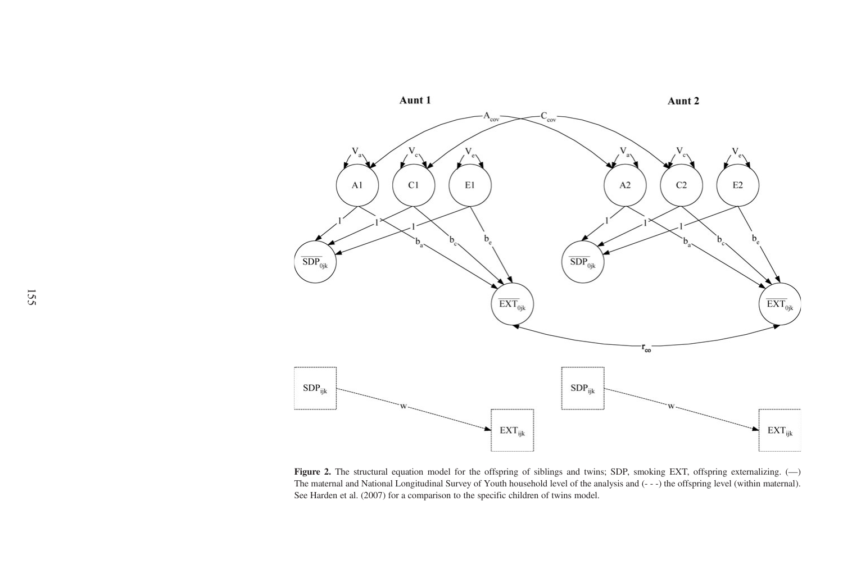

Figure 2. The structural equation model for the offspring of siblings and twins; SDP, smoking EXT, offspring externalizing.  $(-)$ The maternal and National Longitudinal Survey of Youth household level of the analysis and (- - -) the offspring level (within maternal). See Harden et al. (2007) for a comparison to the specific children of twins model.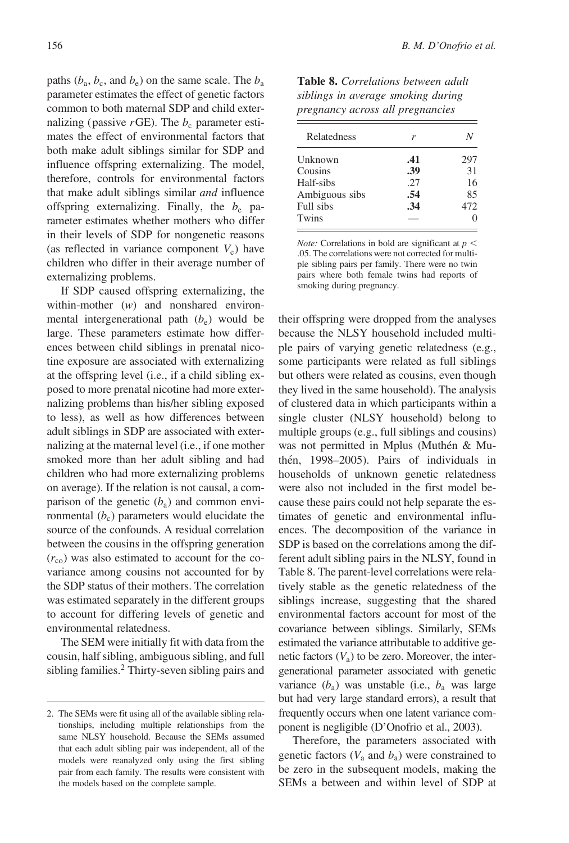paths ( $b_a$ ,  $b_c$ , and  $b_e$ ) on the same scale. The  $b_a$ parameter estimates the effect of genetic factors common to both maternal SDP and child externalizing (passive  $r$ GE). The  $b_c$  parameter estimates the effect of environmental factors that both make adult siblings similar for SDP and influence offspring externalizing. The model, therefore, controls for environmental factors that make adult siblings similar and influence offspring externalizing. Finally, the  $b_e$  parameter estimates whether mothers who differ in their levels of SDP for nongenetic reasons (as reflected in variance component  $V_e$ ) have children who differ in their average number of externalizing problems.

If SDP caused offspring externalizing, the within-mother  $(w)$  and nonshared environmental intergenerational path  $(b_e)$  would be large. These parameters estimate how differences between child siblings in prenatal nicotine exposure are associated with externalizing at the offspring level (i.e., if a child sibling exposed to more prenatal nicotine had more externalizing problems than his/her sibling exposed to less), as well as how differences between adult siblings in SDP are associated with externalizing at the maternal level (i.e., if one mother smoked more than her adult sibling and had children who had more externalizing problems on average). If the relation is not causal, a comparison of the genetic  $(b_a)$  and common environmental  $(b<sub>c</sub>)$  parameters would elucidate the source of the confounds. A residual correlation between the cousins in the offspring generation  $(r_{\rm co})$  was also estimated to account for the covariance among cousins not accounted for by the SDP status of their mothers. The correlation was estimated separately in the different groups to account for differing levels of genetic and environmental relatedness.

The SEM were initially fit with data from the cousin, half sibling, ambiguous sibling, and full sibling families.<sup>2</sup> Thirty-seven sibling pairs and

Table 8. Correlations between adult siblings in average smoking during pregnancy across all pregnancies

| Relatedness    | r   |     |
|----------------|-----|-----|
| Unknown        | .41 | 297 |
| Cousins        | .39 | 31  |
| Half-sibs      | .27 | 16  |
| Ambiguous sibs | .54 | 85  |
| Full sibs      | .34 | 472 |
| Twins          |     |     |

*Note:* Correlations in bold are significant at  $p <$ .05. The correlations were not corrected for multiple sibling pairs per family. There were no twin pairs where both female twins had reports of smoking during pregnancy.

their offspring were dropped from the analyses because the NLSY household included multiple pairs of varying genetic relatedness (e.g., some participants were related as full siblings but others were related as cousins, even though they lived in the same household). The analysis of clustered data in which participants within a single cluster (NLSY household) belong to multiple groups (e.g., full siblings and cousins) was not permitted in Mplus (Muthén & Muthén, 1998–2005). Pairs of individuals in households of unknown genetic relatedness were also not included in the first model because these pairs could not help separate the estimates of genetic and environmental influences. The decomposition of the variance in SDP is based on the correlations among the different adult sibling pairs in the NLSY, found in Table 8. The parent-level correlations were relatively stable as the genetic relatedness of the siblings increase, suggesting that the shared environmental factors account for most of the covariance between siblings. Similarly, SEMs estimated the variance attributable to additive genetic factors  $(V_a)$  to be zero. Moreover, the intergenerational parameter associated with genetic variance  $(b_a)$  was unstable (i.e.,  $b_a$  was large but had very large standard errors), a result that frequently occurs when one latent variance component is negligible (D'Onofrio et al., 2003).

Therefore, the parameters associated with genetic factors  $(V_a$  and  $b_a)$  were constrained to be zero in the subsequent models, making the SEMs a between and within level of SDP at

<sup>2.</sup> The SEMs were fit using all of the available sibling relationships, including multiple relationships from the same NLSY household. Because the SEMs assumed that each adult sibling pair was independent, all of the models were reanalyzed only using the first sibling pair from each family. The results were consistent with the models based on the complete sample.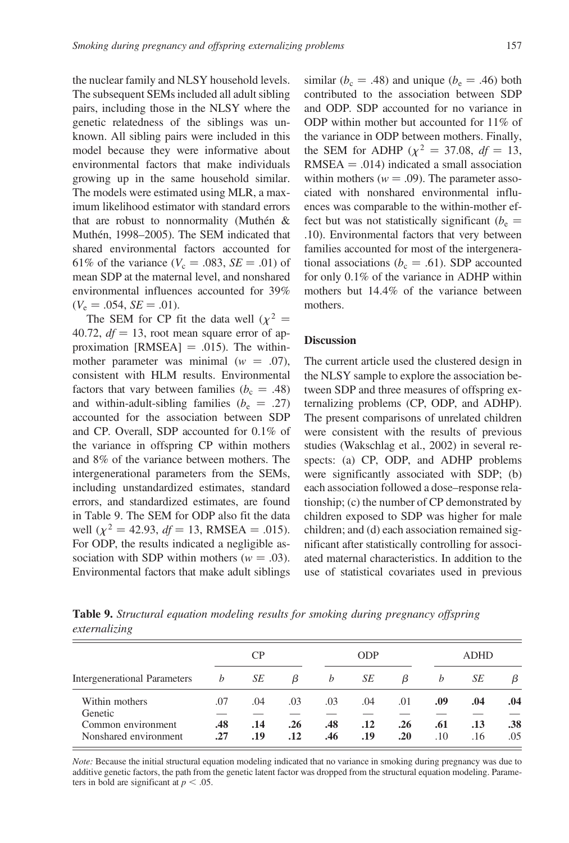the nuclear family and NLSY household levels. The subsequent SEMs included all adult sibling pairs, including those in the NLSY where the genetic relatedness of the siblings was unknown. All sibling pairs were included in this model because they were informative about environmental factors that make individuals growing up in the same household similar. The models were estimated using MLR, a maximum likelihood estimator with standard errors that are robust to nonnormality (Muthén  $&$ Muthén, 1998–2005). The SEM indicated that shared environmental factors accounted for 61% of the variance ( $V_c = .083$ ,  $SE = .01$ ) of mean SDP at the maternal level, and nonshared environmental influences accounted for 39%  $(V_e = .054, SE = .01).$ 

The SEM for CP fit the data well ( $\chi^2$  = 40.72,  $df = 13$ , root mean square error of approximation  $[RMSEA] = .015$ . The withinmother parameter was minimal  $(w = .07)$ , consistent with HLM results. Environmental factors that vary between families ( $b_c = .48$ ) and within-adult-sibling families ( $b_e$  = .27) accounted for the association between SDP and CP. Overall, SDP accounted for 0.1% of the variance in offspring CP within mothers and 8% of the variance between mothers. The intergenerational parameters from the SEMs, including unstandardized estimates, standard errors, and standardized estimates, are found in Table 9. The SEM for ODP also fit the data well ( $\chi^2 = 42.93$ ,  $df = 13$ , RMSEA = .015). For ODP, the results indicated a negligible association with SDP within mothers ( $w = .03$ ). Environmental factors that make adult siblings

similar ( $b_c = .48$ ) and unique ( $b_e = .46$ ) both contributed to the association between SDP and ODP. SDP accounted for no variance in ODP within mother but accounted for 11% of the variance in ODP between mothers. Finally, the SEM for ADHP ( $\chi^2 = 37.08$ ,  $df = 13$ ,  $RMSEA = .014$ ) indicated a small association within mothers ( $w = .09$ ). The parameter associated with nonshared environmental influences was comparable to the within-mother effect but was not statistically significant ( $b_e$  = .10). Environmental factors that very between families accounted for most of the intergenerational associations ( $b_c = .61$ ). SDP accounted for only 0.1% of the variance in ADHP within mothers but 14.4% of the variance between mothers.

#### **Discussion**

The current article used the clustered design in the NLSY sample to explore the association between SDP and three measures of offspring externalizing problems (CP, ODP, and ADHP). The present comparisons of unrelated children were consistent with the results of previous studies (Wakschlag et al., 2002) in several respects: (a) CP, ODP, and ADHP problems were significantly associated with SDP; (b) each association followed a dose–response relationship; (c) the number of CP demonstrated by children exposed to SDP was higher for male children; and (d) each association remained significant after statistically controlling for associated maternal characteristics. In addition to the use of statistical covariates used in previous

Table 9. Structural equation modeling results for smoking during pregnancy offspring externalizing

|                                             |            | <b>CP</b>  |            |            | <b>ODP</b> |            |            | <b>ADHD</b> |            |  |
|---------------------------------------------|------------|------------|------------|------------|------------|------------|------------|-------------|------------|--|
| Intergenerational Parameters                | h          | SЕ         | β          | b          | SЕ         | β          | b          | SЕ          | β          |  |
| Within mothers<br>Genetic                   | .07        | .04        | .03        | .03        | .04        | .01        | .09        | .04         | .04        |  |
| Common environment<br>Nonshared environment | .48<br>.27 | .14<br>.19 | .26<br>.12 | .48<br>.46 | .12<br>.19 | .26<br>.20 | .61<br>.10 | .13<br>.16  | .38<br>.05 |  |

Note: Because the initial structural equation modeling indicated that no variance in smoking during pregnancy was due to additive genetic factors, the path from the genetic latent factor was dropped from the structural equation modeling. Parameters in bold are significant at  $p < .05$ .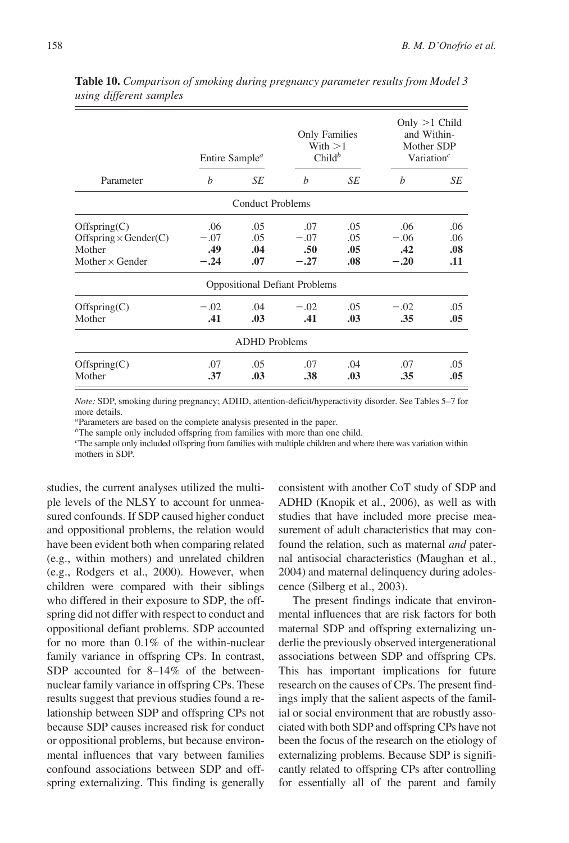|                                                                                  | Entire Sample <sup><math>a</math></sup> |                          | <b>Only Families</b><br>With $>1$<br>$Child^b$ |                          |                                | Only $>1$ Child<br>and Within-<br>Mother SDP<br>Variation <sup><math>c</math></sup> |  |
|----------------------------------------------------------------------------------|-----------------------------------------|--------------------------|------------------------------------------------|--------------------------|--------------------------------|-------------------------------------------------------------------------------------|--|
| Parameter                                                                        | $\boldsymbol{b}$                        | SE                       | $\boldsymbol{b}$                               | SE                       | h                              | SЕ                                                                                  |  |
|                                                                                  |                                         | <b>Conduct Problems</b>  |                                                |                          |                                |                                                                                     |  |
| Offspring(C)<br>$Offspring \times Gender(C)$<br>Mother<br>Mother $\times$ Gender | .06<br>$-.07$<br>.49<br>$-.24$          | .05<br>.05<br>.04<br>.07 | .07<br>$-.07$<br>.50<br>$-.27$                 | .05<br>.05<br>.05<br>.08 | .06<br>$-.06$<br>.42<br>$-.20$ | .06<br>.06<br>.08<br>.11                                                            |  |
|                                                                                  |                                         |                          | <b>Oppositional Defiant Problems</b>           |                          |                                |                                                                                     |  |
| Offspring(C)<br>Mother                                                           | $-.02$<br>.41                           | .04<br>.03               | $-.02$<br>.41                                  | .05<br>.03               | $-.02$<br>.35                  | .05<br>.05                                                                          |  |
|                                                                                  |                                         | <b>ADHD</b> Problems     |                                                |                          |                                |                                                                                     |  |
| Offspring(C)<br>Mother                                                           | .07<br>.37                              | .05<br>.03               | .07<br>.38                                     | .04<br>.03               | .07<br>.35                     | .05<br>.05                                                                          |  |

Table 10. Comparison of smoking during pregnancy parameter results from Model 3 using different samples

Note: SDP, smoking during pregnancy; ADHD, attention-deficit/hyperactivity disorder. See Tables 5–7 for more details.

<sup>a</sup>Parameters are based on the complete analysis presented in the paper.

 $b$ The sample only included offspring from families with more than one child.

 $c$ The sample only included offspring from families with multiple children and where there was variation within mothers in SDP.

studies, the current analyses utilized the multiple levels of the NLSY to account for unmeasured confounds. If SDP caused higher conduct and oppositional problems, the relation would have been evident both when comparing related (e.g., within mothers) and unrelated children (e.g., Rodgers et al., 2000). However, when children were compared with their siblings who differed in their exposure to SDP, the offspring did not differ with respect to conduct and oppositional defiant problems. SDP accounted for no more than 0.1% of the within-nuclear family variance in offspring CPs. In contrast, SDP accounted for 8–14% of the betweennuclear family variance in offspring CPs. These results suggest that previous studies found a relationship between SDP and offspring CPs not because SDP causes increased risk for conduct or oppositional problems, but because environmental influences that vary between families confound associations between SDP and offspring externalizing. This finding is generally

consistent with another CoT study of SDP and ADHD (Knopik et al., 2006), as well as with studies that have included more precise measurement of adult characteristics that may confound the relation, such as maternal and paternal antisocial characteristics (Maughan et al., 2004) and maternal delinquency during adolescence (Silberg et al., 2003).

The present findings indicate that environmental influences that are risk factors for both maternal SDP and offspring externalizing underlie the previously observed intergenerational associations between SDP and offspring CPs. This has important implications for future research on the causes of CPs. The present findings imply that the salient aspects of the familial or social environment that are robustly associated with both SDP and offspring CPs have not been the focus of the research on the etiology of externalizing problems. Because SDP is significantly related to offspring CPs after controlling for essentially all of the parent and family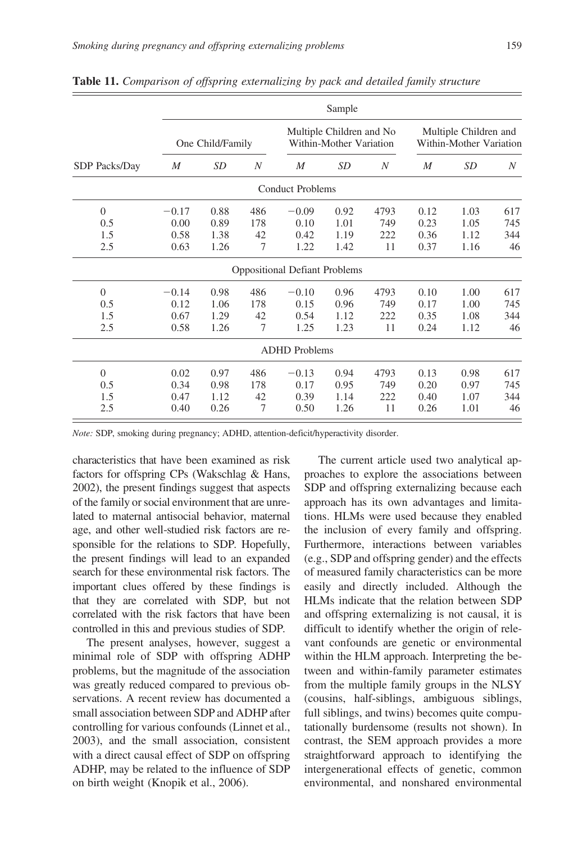|                                     |                                 |                              |                       |                                      | Sample                                              |                          |                                                  |                              |                         |
|-------------------------------------|---------------------------------|------------------------------|-----------------------|--------------------------------------|-----------------------------------------------------|--------------------------|--------------------------------------------------|------------------------------|-------------------------|
|                                     |                                 | One Child/Family             |                       |                                      | Multiple Children and No<br>Within-Mother Variation |                          | Multiple Children and<br>Within-Mother Variation |                              |                         |
| SDP Packs/Day                       | $\boldsymbol{M}$                | SD                           | N                     | $\boldsymbol{M}$                     | SD                                                  | $\boldsymbol{N}$         | M                                                | <b>SD</b>                    | N                       |
|                                     |                                 |                              |                       | <b>Conduct Problems</b>              |                                                     |                          |                                                  |                              |                         |
| $\Omega$<br>0.5<br>1.5<br>2.5       | $-0.17$<br>0.00<br>0.58<br>0.63 | 0.88<br>0.89<br>1.38<br>1.26 | 486<br>178<br>42<br>7 | $-0.09$<br>0.10<br>0.42<br>1.22      | 0.92<br>1.01<br>1.19<br>1.42                        | 4793<br>749<br>222<br>11 | 0.12<br>0.23<br>0.36<br>0.37                     | 1.03<br>1.05<br>1.12<br>1.16 | 617<br>745<br>344<br>46 |
|                                     |                                 |                              |                       | <b>Oppositional Defiant Problems</b> |                                                     |                          |                                                  |                              |                         |
| $\overline{0}$<br>0.5<br>1.5<br>2.5 | $-0.14$<br>0.12<br>0.67<br>0.58 | 0.98<br>1.06<br>1.29<br>1.26 | 486<br>178<br>42<br>7 | $-0.10$<br>0.15<br>0.54<br>1.25      | 0.96<br>0.96<br>1.12<br>1.23                        | 4793<br>749<br>222<br>11 | 0.10<br>0.17<br>0.35<br>0.24                     | 1.00<br>1.00<br>1.08<br>1.12 | 617<br>745<br>344<br>46 |
|                                     |                                 |                              |                       | <b>ADHD</b> Problems                 |                                                     |                          |                                                  |                              |                         |
| $\Omega$<br>0.5<br>1.5<br>2.5       | 0.02<br>0.34<br>0.47<br>0.40    | 0.97<br>0.98<br>1.12<br>0.26 | 486<br>178<br>42<br>7 | $-0.13$<br>0.17<br>0.39<br>0.50      | 0.94<br>0.95<br>1.14<br>1.26                        | 4793<br>749<br>222<br>11 | 0.13<br>0.20<br>0.40<br>0.26                     | 0.98<br>0.97<br>1.07<br>1.01 | 617<br>745<br>344<br>46 |

Table 11. Comparison of offspring externalizing by pack and detailed family structure

Note: SDP, smoking during pregnancy; ADHD, attention-deficit/hyperactivity disorder.

characteristics that have been examined as risk factors for offspring CPs (Wakschlag & Hans, 2002), the present findings suggest that aspects of the family or social environment that are unrelated to maternal antisocial behavior, maternal age, and other well-studied risk factors are responsible for the relations to SDP. Hopefully, the present findings will lead to an expanded search for these environmental risk factors. The important clues offered by these findings is that they are correlated with SDP, but not correlated with the risk factors that have been controlled in this and previous studies of SDP.

The present analyses, however, suggest a minimal role of SDP with offspring ADHP problems, but the magnitude of the association was greatly reduced compared to previous observations. A recent review has documented a small association between SDP and ADHP after controlling for various confounds (Linnet et al., 2003), and the small association, consistent with a direct causal effect of SDP on offspring ADHP, may be related to the influence of SDP on birth weight (Knopik et al., 2006).

The current article used two analytical approaches to explore the associations between SDP and offspring externalizing because each approach has its own advantages and limitations. HLMs were used because they enabled the inclusion of every family and offspring. Furthermore, interactions between variables (e.g., SDP and offspring gender) and the effects of measured family characteristics can be more easily and directly included. Although the HLMs indicate that the relation between SDP and offspring externalizing is not causal, it is difficult to identify whether the origin of relevant confounds are genetic or environmental within the HLM approach. Interpreting the between and within-family parameter estimates from the multiple family groups in the NLSY (cousins, half-siblings, ambiguous siblings, full siblings, and twins) becomes quite computationally burdensome (results not shown). In contrast, the SEM approach provides a more straightforward approach to identifying the intergenerational effects of genetic, common environmental, and nonshared environmental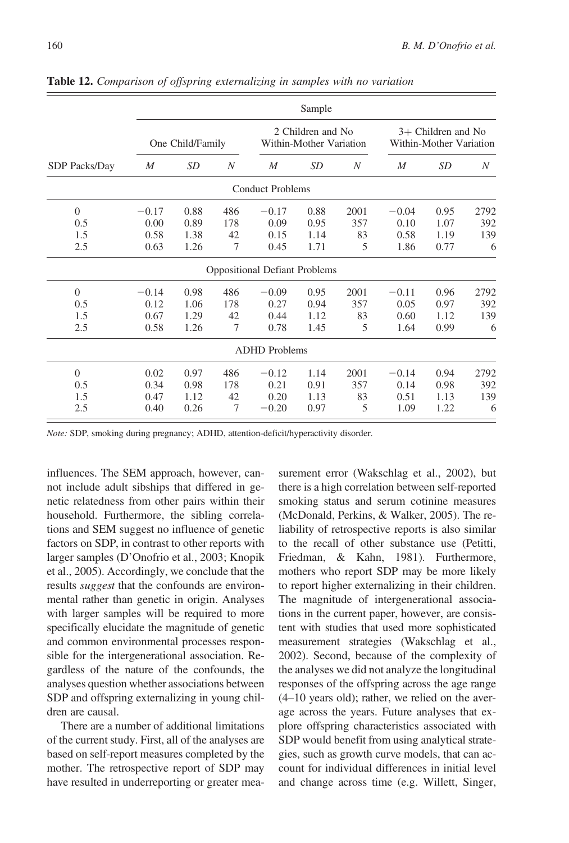|                      |         |                  |                  |                                                                                                 | Sample    |                  |         |      |      |
|----------------------|---------|------------------|------------------|-------------------------------------------------------------------------------------------------|-----------|------------------|---------|------|------|
|                      |         | One Child/Family |                  | 2 Children and No<br>$3+$ Children and No<br>Within-Mother Variation<br>Within-Mother Variation |           |                  |         |      |      |
| <b>SDP</b> Packs/Day | M       | <i>SD</i>        | $\boldsymbol{N}$ | $\boldsymbol{M}$                                                                                | <i>SD</i> | $\boldsymbol{N}$ | M       | SD   | N    |
|                      |         |                  |                  | <b>Conduct Problems</b>                                                                         |           |                  |         |      |      |
| $\overline{0}$       | $-0.17$ | 0.88             | 486              | $-0.17$                                                                                         | 0.88      | 2001             | $-0.04$ | 0.95 | 2792 |
| 0.5                  | 0.00    | 0.89             | 178              | 0.09                                                                                            | 0.95      | 357              | 0.10    | 1.07 | 392  |
| 1.5                  | 0.58    | 1.38             | 42               | 0.15                                                                                            | 1.14      | 83               | 0.58    | 1.19 | 139  |
| 2.5                  | 0.63    | 1.26             | 7                | 0.45                                                                                            | 1.71      | 5                | 1.86    | 0.77 | 6    |
|                      |         |                  |                  | <b>Oppositional Defiant Problems</b>                                                            |           |                  |         |      |      |
| $\Omega$             | $-0.14$ | 0.98             | 486              | $-0.09$                                                                                         | 0.95      | 2001             | $-0.11$ | 0.96 | 2792 |
| 0.5                  | 0.12    | 1.06             | 178              | 0.27                                                                                            | 0.94      | 357              | 0.05    | 0.97 | 392  |
| 1.5                  | 0.67    | 1.29             | 42               | 0.44                                                                                            | 1.12      | 83               | 0.60    | 1.12 | 139  |
| 2.5                  | 0.58    | 1.26             | $\overline{7}$   | 0.78                                                                                            | 1.45      | 5                | 1.64    | 0.99 | 6    |
|                      |         |                  |                  | <b>ADHD</b> Problems                                                                            |           |                  |         |      |      |
| $\Omega$             | 0.02    | 0.97             | 486              | $-0.12$                                                                                         | 1.14      | 2001             | $-0.14$ | 0.94 | 2792 |
| 0.5                  | 0.34    | 0.98             | 178              | 0.21                                                                                            | 0.91      | 357              | 0.14    | 0.98 | 392  |
| 1.5                  | 0.47    | 1.12             | 42               | 0.20                                                                                            | 1.13      | 83               | 0.51    | 1.13 | 139  |
| 2.5                  | 0.40    | 0.26             | $\overline{7}$   | $-0.20$                                                                                         | 0.97      | 5                | 1.09    | 1.22 | 6    |

Table 12. Comparison of offspring externalizing in samples with no variation

Note: SDP, smoking during pregnancy; ADHD, attention-deficit/hyperactivity disorder.

influences. The SEM approach, however, cannot include adult sibships that differed in genetic relatedness from other pairs within their household. Furthermore, the sibling correlations and SEM suggest no influence of genetic factors on SDP, in contrast to other reports with larger samples (D'Onofrio et al., 2003; Knopik et al., 2005). Accordingly, we conclude that the results suggest that the confounds are environmental rather than genetic in origin. Analyses with larger samples will be required to more specifically elucidate the magnitude of genetic and common environmental processes responsible for the intergenerational association. Regardless of the nature of the confounds, the analyses question whether associations between SDP and offspring externalizing in young children are causal.

There are a number of additional limitations of the current study. First, all of the analyses are based on self-report measures completed by the mother. The retrospective report of SDP may have resulted in underreporting or greater measurement error (Wakschlag et al., 2002), but there is a high correlation between self-reported smoking status and serum cotinine measures (McDonald, Perkins, & Walker, 2005). The reliability of retrospective reports is also similar to the recall of other substance use (Petitti, Friedman, & Kahn, 1981). Furthermore, mothers who report SDP may be more likely to report higher externalizing in their children. The magnitude of intergenerational associations in the current paper, however, are consistent with studies that used more sophisticated measurement strategies (Wakschlag et al., 2002). Second, because of the complexity of the analyses we did not analyze the longitudinal responses of the offspring across the age range (4–10 years old); rather, we relied on the average across the years. Future analyses that explore offspring characteristics associated with SDP would benefit from using analytical strategies, such as growth curve models, that can account for individual differences in initial level and change across time (e.g. Willett, Singer,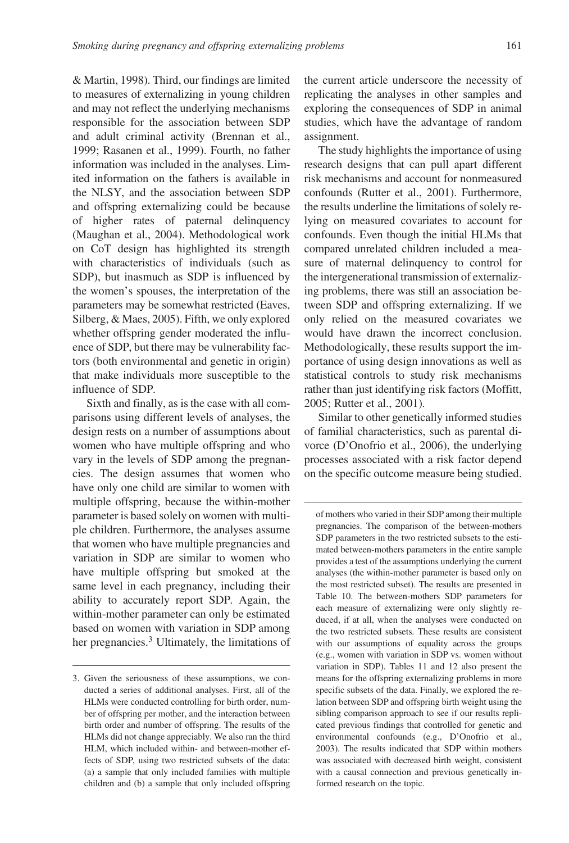& Martin, 1998). Third, our findings are limited to measures of externalizing in young children and may not reflect the underlying mechanisms responsible for the association between SDP and adult criminal activity (Brennan et al., 1999; Rasanen et al., 1999). Fourth, no father information was included in the analyses. Limited information on the fathers is available in the NLSY, and the association between SDP and offspring externalizing could be because of higher rates of paternal delinquency (Maughan et al., 2004). Methodological work on CoT design has highlighted its strength with characteristics of individuals (such as SDP), but inasmuch as SDP is influenced by the women's spouses, the interpretation of the parameters may be somewhat restricted (Eaves, Silberg, & Maes, 2005). Fifth, we only explored whether offspring gender moderated the influence of SDP, but there may be vulnerability factors (both environmental and genetic in origin) that make individuals more susceptible to the influence of SDP.

Sixth and finally, as is the case with all comparisons using different levels of analyses, the design rests on a number of assumptions about women who have multiple offspring and who vary in the levels of SDP among the pregnancies. The design assumes that women who have only one child are similar to women with multiple offspring, because the within-mother parameter is based solely on women with multiple children. Furthermore, the analyses assume that women who have multiple pregnancies and variation in SDP are similar to women who have multiple offspring but smoked at the same level in each pregnancy, including their ability to accurately report SDP. Again, the within-mother parameter can only be estimated based on women with variation in SDP among her pregnancies.<sup>3</sup> Ultimately, the limitations of the current article underscore the necessity of replicating the analyses in other samples and exploring the consequences of SDP in animal studies, which have the advantage of random assignment.

The study highlights the importance of using research designs that can pull apart different risk mechanisms and account for nonmeasured confounds (Rutter et al., 2001). Furthermore, the results underline the limitations of solely relying on measured covariates to account for confounds. Even though the initial HLMs that compared unrelated children included a measure of maternal delinquency to control for the intergenerational transmission of externalizing problems, there was still an association between SDP and offspring externalizing. If we only relied on the measured covariates we would have drawn the incorrect conclusion. Methodologically, these results support the importance of using design innovations as well as statistical controls to study risk mechanisms rather than just identifying risk factors (Moffitt, 2005; Rutter et al., 2001).

Similar to other genetically informed studies of familial characteristics, such as parental divorce (D'Onofrio et al., 2006), the underlying processes associated with a risk factor depend on the specific outcome measure being studied.

<sup>3.</sup> Given the seriousness of these assumptions, we conducted a series of additional analyses. First, all of the HLMs were conducted controlling for birth order, number of offspring per mother, and the interaction between birth order and number of offspring. The results of the HLMs did not change appreciably. We also ran the third HLM, which included within- and between-mother effects of SDP, using two restricted subsets of the data: (a) a sample that only included families with multiple children and (b) a sample that only included offspring

of mothers who varied in their SDP among their multiple pregnancies. The comparison of the between-mothers SDP parameters in the two restricted subsets to the estimated between-mothers parameters in the entire sample provides a test of the assumptions underlying the current analyses (the within-mother parameter is based only on the most restricted subset). The results are presented in Table 10. The between-mothers SDP parameters for each measure of externalizing were only slightly reduced, if at all, when the analyses were conducted on the two restricted subsets. These results are consistent with our assumptions of equality across the groups (e.g., women with variation in SDP vs. women without variation in SDP). Tables 11 and 12 also present the means for the offspring externalizing problems in more specific subsets of the data. Finally, we explored the relation between SDP and offspring birth weight using the sibling comparison approach to see if our results replicated previous findings that controlled for genetic and environmental confounds (e.g., D'Onofrio et al., 2003). The results indicated that SDP within mothers was associated with decreased birth weight, consistent with a causal connection and previous genetically informed research on the topic.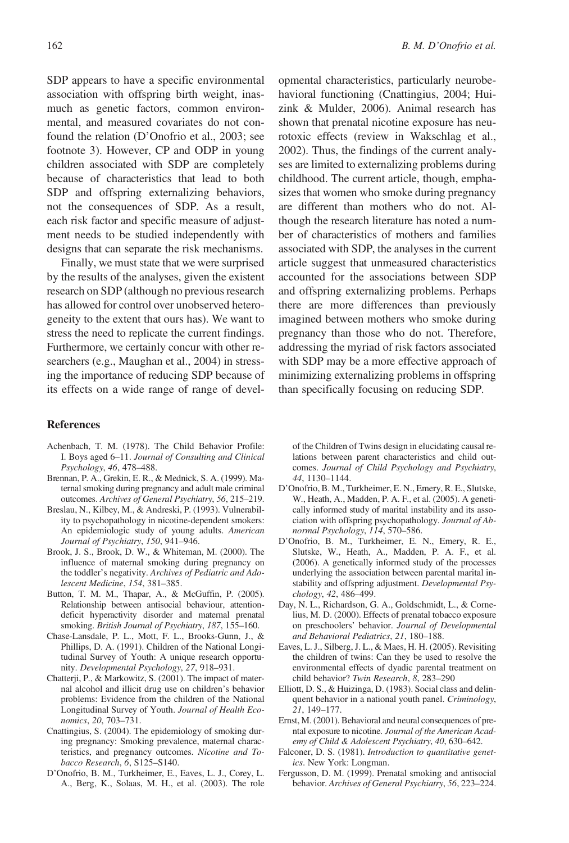SDP appears to have a specific environmental association with offspring birth weight, inasmuch as genetic factors, common environmental, and measured covariates do not confound the relation (D'Onofrio et al., 2003; see footnote 3). However, CP and ODP in young children associated with SDP are completely because of characteristics that lead to both SDP and offspring externalizing behaviors, not the consequences of SDP. As a result, each risk factor and specific measure of adjustment needs to be studied independently with designs that can separate the risk mechanisms.

Finally, we must state that we were surprised by the results of the analyses, given the existent research on SDP (although no previous research has allowed for control over unobserved heterogeneity to the extent that ours has). We want to stress the need to replicate the current findings. Furthermore, we certainly concur with other researchers (e.g., Maughan et al., 2004) in stressing the importance of reducing SDP because of its effects on a wide range of range of devel-

#### References

- Achenbach, T. M. (1978). The Child Behavior Profile: I. Boys aged 6–11. Journal of Consulting and Clinical Psychology, 46, 478–488.
- Brennan, P. A., Grekin, E. R., & Mednick, S. A. (1999). Maternal smoking during pregnancy and adult male criminal outcomes. Archives of General Psychiatry, 56, 215–219.
- Breslau, N., Kilbey, M., & Andreski, P. (1993). Vulnerability to psychopathology in nicotine-dependent smokers: An epidemiologic study of young adults. American Journal of Psychiatry, 150, 941–946.
- Brook, J. S., Brook, D. W., & Whiteman, M. (2000). The influence of maternal smoking during pregnancy on the toddler's negativity. Archives of Pediatric and Adolescent Medicine, 154, 381–385.
- Button, T. M. M., Thapar, A., & McGuffin, P. (2005). Relationship between antisocial behaviour, attentiondeficit hyperactivity disorder and maternal prenatal smoking. British Journal of Psychiatry, 187, 155–160.
- Chase-Lansdale, P. L., Mott, F. L., Brooks-Gunn, J., & Phillips, D. A. (1991). Children of the National Longitudinal Survey of Youth: A unique research opportunity. Developmental Psychology, 27, 918–931.
- Chatterji, P., & Markowitz, S. (2001). The impact of maternal alcohol and illicit drug use on children's behavior problems: Evidence from the children of the National Longitudinal Survey of Youth. Journal of Health Economics, 20, 703–731.
- Cnattingius, S. (2004). The epidemiology of smoking during pregnancy: Smoking prevalence, maternal characteristics, and pregnancy outcomes. Nicotine and Tobacco Research, 6, S125–S140.
- D'Onofrio, B. M., Turkheimer, E., Eaves, L. J., Corey, L. A., Berg, K., Solaas, M. H., et al. (2003). The role

opmental characteristics, particularly neurobehavioral functioning (Cnattingius, 2004; Huizink & Mulder, 2006). Animal research has shown that prenatal nicotine exposure has neurotoxic effects (review in Wakschlag et al., 2002). Thus, the findings of the current analyses are limited to externalizing problems during childhood. The current article, though, emphasizes that women who smoke during pregnancy are different than mothers who do not. Although the research literature has noted a number of characteristics of mothers and families associated with SDP, the analyses in the current article suggest that unmeasured characteristics accounted for the associations between SDP and offspring externalizing problems. Perhaps there are more differences than previously imagined between mothers who smoke during pregnancy than those who do not. Therefore, addressing the myriad of risk factors associated with SDP may be a more effective approach of minimizing externalizing problems in offspring than specifically focusing on reducing SDP.

of the Children of Twins design in elucidating causal relations between parent characteristics and child outcomes. Journal of Child Psychology and Psychiatry, 44, 1130–1144.

- D'Onofrio, B. M., Turkheimer, E. N., Emery, R. E., Slutske, W., Heath, A., Madden, P. A. F., et al. (2005). A genetically informed study of marital instability and its association with offspring psychopathology. Journal of Abnormal Psychology, 114, 570–586.
- D'Onofrio, B. M., Turkheimer, E. N., Emery, R. E., Slutske, W., Heath, A., Madden, P. A. F., et al. (2006). A genetically informed study of the processes underlying the association between parental marital instability and offspring adjustment. Developmental Psychology, 42, 486–499.
- Day, N. L., Richardson, G. A., Goldschmidt, L., & Cornelius, M. D. (2000). Effects of prenatal tobacco exposure on preschoolers' behavior. Journal of Developmental and Behavioral Pediatrics, 21, 180–188.
- Eaves, L. J., Silberg, J. L., & Maes, H. H. (2005). Revisiting the children of twins: Can they be used to resolve the environmental effects of dyadic parental treatment on child behavior? Twin Research, 8, 283–290
- Elliott, D. S., & Huizinga, D. (1983). Social class and delinquent behavior in a national youth panel. Criminology, 21, 149–177.
- Ernst, M. (2001). Behavioral and neural consequences of prental exposure to nicotine. Journal of the American Academy of Child & Adolescent Psychiatry, 40, 630–642.
- Falconer, D. S. (1981). Introduction to quantitative genetics. New York: Longman.
- Fergusson, D. M. (1999). Prenatal smoking and antisocial behavior. Archives of General Psychiatry, 56, 223–224.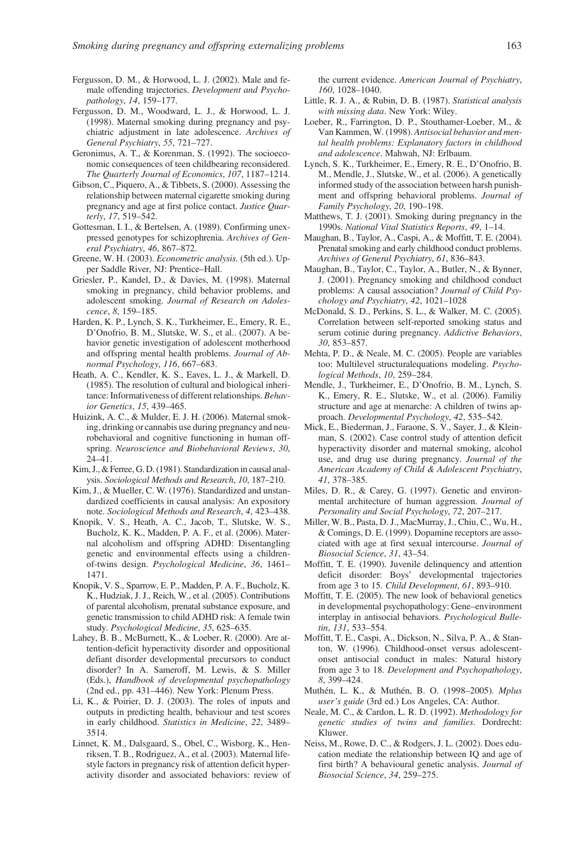- Fergusson, D. M., & Horwood, L. J. (2002). Male and female offending trajectories. Development and Psychopathology, 14, 159–177.
- Fergusson, D. M., Woodward, L. J., & Horwood, L. J. (1998). Maternal smoking during pregnancy and psychiatric adjustment in late adolescence. Archives of General Psychiatry, 55, 721–727.
- Geronimus, A. T., & Korenman, S. (1992). The socioeconomic consequences of teen childbearing reconsidered. The Quarterly Journal of Economics, 107, 1187–1214.
- Gibson, C., Piquero, A., & Tibbets, S. (2000). Assessing the relationship between maternal cigarette smoking during pregnancy and age at first police contact. Justice Quarterly, 17, 519–542.
- Gottesman, I. I., & Bertelsen, A. (1989). Confirming unexpressed genotypes for schizophrenia. Archives of General Psychiatry, 46, 867–872.
- Greene, W. H. (2003). Econometric analysis. (5th ed.). Upper Saddle River, NJ: Prentice–Hall.
- Griesler, P., Kandel, D., & Davies, M. (1998). Maternal smoking in pregnancy, child behavior problems, and adolescent smoking. Journal of Research on Adolescence, 8, 159–185.
- Harden, K. P., Lynch, S. K., Turkheimer, E., Emery, R. E., D'Onofrio, B. M., Slutske, W. S., et al.. (2007). A behavior genetic investigation of adolescent motherhood and offspring mental health problems. Journal of Abnormal Psychology, 116, 667–683.
- Heath, A. C., Kendler, K. S., Eaves, L. J., & Markell, D. (1985). The resolution of cultural and biological inheritance: Informativeness of different relationships. Behavior Genetics, 15, 439–465.
- Huizink, A. C., & Mulder, E. J. H. (2006). Maternal smoking, drinking or cannabis use during pregnancy and neurobehavioral and cognitive functioning in human offspring. Neuroscience and Biobehavioral Reviews, 30, 24–41.
- Kim, J., & Ferree, G. D. (1981). Standardization in causal analysis. Sociological Methods and Research, 10, 187–210.
- Kim, J., & Mueller, C. W. (1976). Standardized and unstandardized coefficients in causal analysis: An expository note. Sociological Methods and Research, 4, 423–438.
- Knopik, V. S., Heath, A. C., Jacob, T., Slutske, W. S., Bucholz, K. K., Madden, P. A. F., et al. (2006). Maternal alcoholism and offspring ADHD: Disentangling genetic and environmental effects using a childrenof-twins design. Psychological Medicine, 36, 1461– 1471.
- Knopik, V. S., Sparrow, E. P., Madden, P. A. F., Bucholz, K. K., Hudziak, J. J., Reich, W., et al. (2005). Contributions of parental alcoholism, prenatal substance exposure, and genetic transmission to child ADHD risk: A female twin study. Psychological Medicine, 35, 625–635.
- Lahey, B. B., McBurnett, K., & Loeber, R. (2000). Are attention-deficit hyperactivity disorder and oppositional defiant disorder developmental precursors to conduct disorder? In A. Sameroff, M. Lewis, & S. Miller (Eds.), Handbook of developmental psychopathology (2nd ed., pp. 431–446). New York: Plenum Press.
- Li, K., & Poirier, D. J. (2003). The roles of inputs and outputs in predicting health, behaviour and test scores in early childhood. Statistics in Medicine, 22, 3489– 3514.
- Linnet, K. M., Dalsgaard, S., Obel, C., Wisborg, K., Henriksen, T. B., Rodriguez, A., et al. (2003). Maternal lifestyle factors in pregnancy risk of attention deficit hyperactivity disorder and associated behaviors: review of

the current evidence. American Journal of Psychiatry, 160, 1028–1040.

- Little, R. J. A., & Rubin, D. B. (1987). Statistical analysis with missing data. New York: Wiley.
- Loeber, R., Farrington, D. P., Stouthamer-Loeber, M., & Van Kammen, W. (1998). Antisocial behavior and mental health problems: Explanatory factors in childhood and adolescence. Mahwah, NJ: Erlbaum.
- Lynch, S. K., Turkheimer, E., Emery, R. E., D'Onofrio, B. M., Mendle, J., Slutske, W., et al. (2006). A genetically informed study of the association between harsh punishment and offspring behavioral problems. Journal of Family Psychology, 20, 190–198.
- Matthews, T. J. (2001). Smoking during pregnancy in the 1990s. National Vital Statistics Reports, 49, 1–14.
- Maughan, B., Taylor, A., Caspi, A., & Moffitt, T. E. (2004). Prenatal smoking and early childhood conduct problems. Archives of General Psychiatry, 61, 836–843.
- Maughan, B., Taylor, C., Taylor, A., Butler, N., & Bynner, J. (2001). Pregnancy smoking and childhood conduct problems: A causal association? Journal of Child Psychology and Psychiatry, 42, 1021–1028
- McDonald, S. D., Perkins, S. L., & Walker, M. C. (2005). Correlation between self-reported smoking status and serum cotinie during pregnancy. Addictive Behaviors, 30, 853–857.
- Mehta, P. D., & Neale, M. C. (2005). People are variables too: Multilevel structuralequations modeling. Psychological Methods, 10, 259–284.
- Mendle, J., Turkheimer, E., D'Onofrio, B. M., Lynch, S. K., Emery, R. E., Slutske, W., et al. (2006). Familiy structure and age at menarche: A children of twins approach. Developmental Psychology, 42, 535–542.
- Mick, E., Biederman, J., Faraone, S. V., Sayer, J., & Kleinman, S. (2002). Case control study of attention deficit hyperactivity disorder and maternal smoking, alcohol use, and drug use during pregnancy. Journal of the American Academy of Child & Adolescent Psychiatry, 41, 378–385.
- Miles, D. R., & Carey, G. (1997). Genetic and environmental architecture of human aggression. Journal of Personality and Social Psychology, 72, 207–217.
- Miller, W. B., Pasta, D. J., MacMurray, J., Chiu, C., Wu, H., & Comings, D. E. (1999). Dopamine receptors are associated with age at first sexual intercourse. Journal of Biosocial Science, 31, 43–54.
- Moffitt, T. E. (1990). Juvenile delinquency and attention deficit disorder: Boys' developmental trajectories from age 3 to 15. Child Development, 61, 893–910.
- Moffitt, T. E. (2005). The new look of behavioral genetics in developmental psychopathology: Gene–environment interplay in antisocial behaviors. Psychological Bulletin, 131, 533–554.
- Moffitt, T. E., Caspi, A., Dickson, N., Silva, P. A., & Stanton, W. (1996). Childhood-onset versus adolescentonset antisocial conduct in males: Natural history from age 3 to 18. Development and Psychopathology, 8, 399–424.
- Muthén, L. K., & Muthén, B. O. (1998-2005). Mplus user's guide (3rd ed.) Los Angeles, CA: Author.
- Neale, M. C., & Cardon, L. R. D. (1992). Methodology for genetic studies of twins and families. Dordrecht: Kluwer.
- Neiss, M., Rowe, D. C., & Rodgers, J. L. (2002). Does education mediate the relationship between IQ and age of first birth? A behavioural genetic analysis. Journal of Biosocial Science, 34, 259–275.